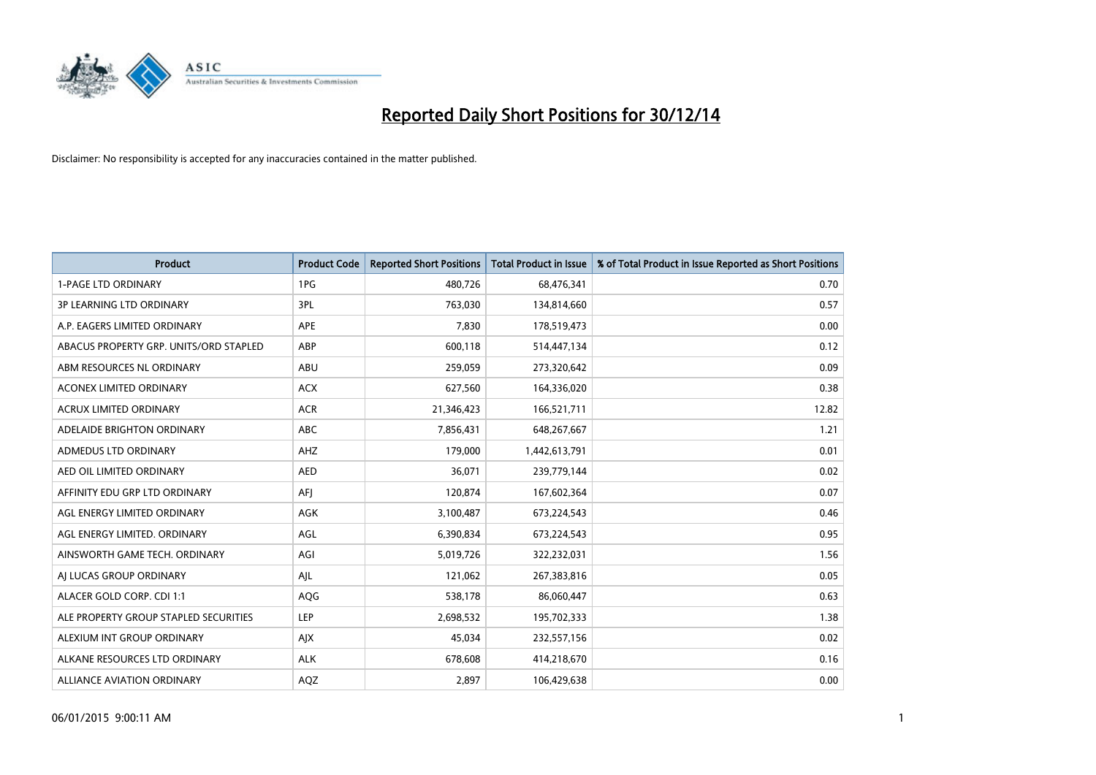

| <b>Product</b>                         | <b>Product Code</b> | <b>Reported Short Positions</b> | <b>Total Product in Issue</b> | % of Total Product in Issue Reported as Short Positions |
|----------------------------------------|---------------------|---------------------------------|-------------------------------|---------------------------------------------------------|
| <b>1-PAGE LTD ORDINARY</b>             | 1PG                 | 480,726                         | 68,476,341                    | 0.70                                                    |
| 3P LEARNING LTD ORDINARY               | 3PL                 | 763,030                         | 134,814,660                   | 0.57                                                    |
| A.P. EAGERS LIMITED ORDINARY           | APE                 | 7,830                           | 178,519,473                   | 0.00                                                    |
| ABACUS PROPERTY GRP. UNITS/ORD STAPLED | ABP                 | 600,118                         | 514,447,134                   | 0.12                                                    |
| ABM RESOURCES NL ORDINARY              | ABU                 | 259,059                         | 273,320,642                   | 0.09                                                    |
| ACONEX LIMITED ORDINARY                | <b>ACX</b>          | 627,560                         | 164,336,020                   | 0.38                                                    |
| ACRUX LIMITED ORDINARY                 | <b>ACR</b>          | 21,346,423                      | 166,521,711                   | 12.82                                                   |
| ADELAIDE BRIGHTON ORDINARY             | ABC                 | 7,856,431                       | 648,267,667                   | 1.21                                                    |
| ADMEDUS LTD ORDINARY                   | AHZ                 | 179,000                         | 1,442,613,791                 | 0.01                                                    |
| AED OIL LIMITED ORDINARY               | <b>AED</b>          | 36,071                          | 239,779,144                   | 0.02                                                    |
| AFFINITY EDU GRP LTD ORDINARY          | AFJ                 | 120,874                         | 167,602,364                   | 0.07                                                    |
| AGL ENERGY LIMITED ORDINARY            | AGK                 | 3,100,487                       | 673,224,543                   | 0.46                                                    |
| AGL ENERGY LIMITED. ORDINARY           | AGL                 | 6,390,834                       | 673,224,543                   | 0.95                                                    |
| AINSWORTH GAME TECH. ORDINARY          | AGI                 | 5,019,726                       | 322,232,031                   | 1.56                                                    |
| AJ LUCAS GROUP ORDINARY                | AJL                 | 121,062                         | 267,383,816                   | 0.05                                                    |
| ALACER GOLD CORP. CDI 1:1              | AQG                 | 538,178                         | 86,060,447                    | 0.63                                                    |
| ALE PROPERTY GROUP STAPLED SECURITIES  | LEP                 | 2,698,532                       | 195,702,333                   | 1.38                                                    |
| ALEXIUM INT GROUP ORDINARY             | AJX                 | 45,034                          | 232,557,156                   | 0.02                                                    |
| ALKANE RESOURCES LTD ORDINARY          | <b>ALK</b>          | 678,608                         | 414,218,670                   | 0.16                                                    |
| <b>ALLIANCE AVIATION ORDINARY</b>      | AQZ                 | 2,897                           | 106,429,638                   | 0.00                                                    |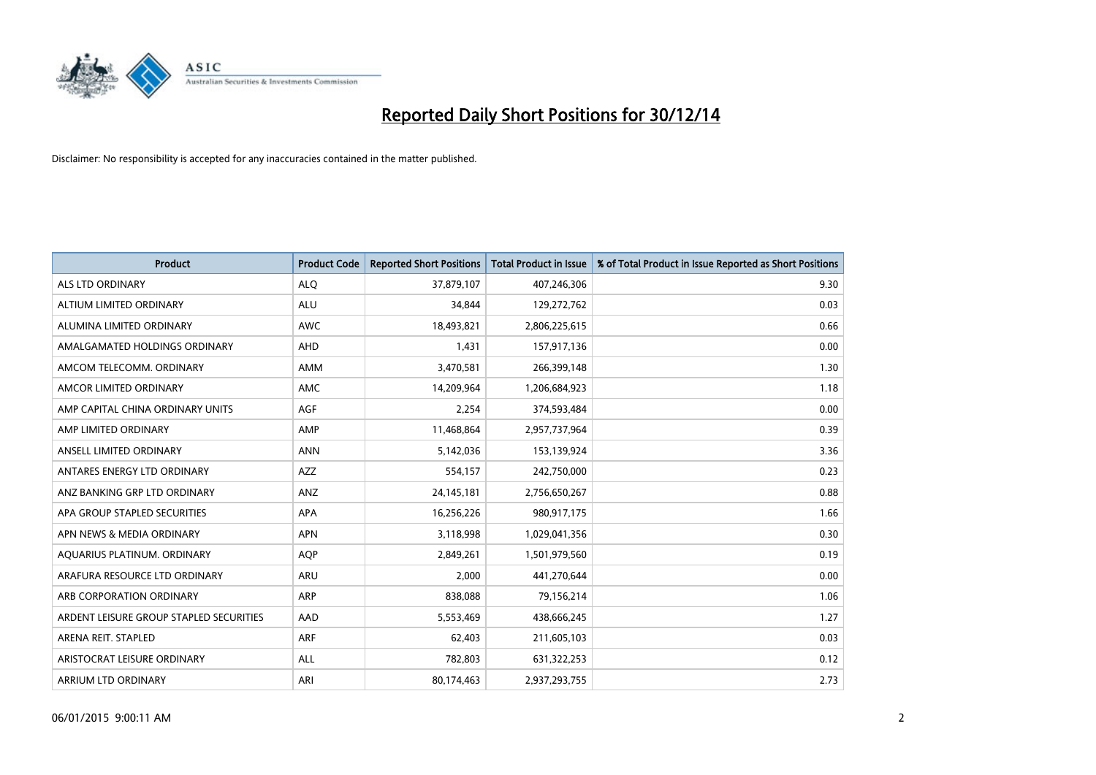

| <b>Product</b>                          | <b>Product Code</b> | <b>Reported Short Positions</b> | <b>Total Product in Issue</b> | % of Total Product in Issue Reported as Short Positions |
|-----------------------------------------|---------------------|---------------------------------|-------------------------------|---------------------------------------------------------|
| <b>ALS LTD ORDINARY</b>                 | <b>ALQ</b>          | 37,879,107                      | 407,246,306                   | 9.30                                                    |
| ALTIUM LIMITED ORDINARY                 | <b>ALU</b>          | 34,844                          | 129,272,762                   | 0.03                                                    |
| ALUMINA LIMITED ORDINARY                | <b>AWC</b>          | 18,493,821                      | 2,806,225,615                 | 0.66                                                    |
| AMALGAMATED HOLDINGS ORDINARY           | <b>AHD</b>          | 1,431                           | 157,917,136                   | 0.00                                                    |
| AMCOM TELECOMM, ORDINARY                | <b>AMM</b>          | 3,470,581                       | 266,399,148                   | 1.30                                                    |
| AMCOR LIMITED ORDINARY                  | AMC                 | 14,209,964                      | 1,206,684,923                 | 1.18                                                    |
| AMP CAPITAL CHINA ORDINARY UNITS        | AGF                 | 2,254                           | 374,593,484                   | 0.00                                                    |
| AMP LIMITED ORDINARY                    | AMP                 | 11,468,864                      | 2,957,737,964                 | 0.39                                                    |
| ANSELL LIMITED ORDINARY                 | <b>ANN</b>          | 5,142,036                       | 153,139,924                   | 3.36                                                    |
| ANTARES ENERGY LTD ORDINARY             | <b>AZZ</b>          | 554,157                         | 242,750,000                   | 0.23                                                    |
| ANZ BANKING GRP LTD ORDINARY            | ANZ                 | 24,145,181                      | 2,756,650,267                 | 0.88                                                    |
| APA GROUP STAPLED SECURITIES            | APA                 | 16,256,226                      | 980,917,175                   | 1.66                                                    |
| APN NEWS & MEDIA ORDINARY               | <b>APN</b>          | 3,118,998                       | 1,029,041,356                 | 0.30                                                    |
| AQUARIUS PLATINUM. ORDINARY             | <b>AOP</b>          | 2,849,261                       | 1,501,979,560                 | 0.19                                                    |
| ARAFURA RESOURCE LTD ORDINARY           | ARU                 | 2,000                           | 441,270,644                   | 0.00                                                    |
| ARB CORPORATION ORDINARY                | ARP                 | 838,088                         | 79,156,214                    | 1.06                                                    |
| ARDENT LEISURE GROUP STAPLED SECURITIES | AAD                 | 5,553,469                       | 438,666,245                   | 1.27                                                    |
| ARENA REIT. STAPLED                     | ARF                 | 62,403                          | 211,605,103                   | 0.03                                                    |
| ARISTOCRAT LEISURE ORDINARY             | <b>ALL</b>          | 782,803                         | 631,322,253                   | 0.12                                                    |
| ARRIUM LTD ORDINARY                     | ARI                 | 80,174,463                      | 2,937,293,755                 | 2.73                                                    |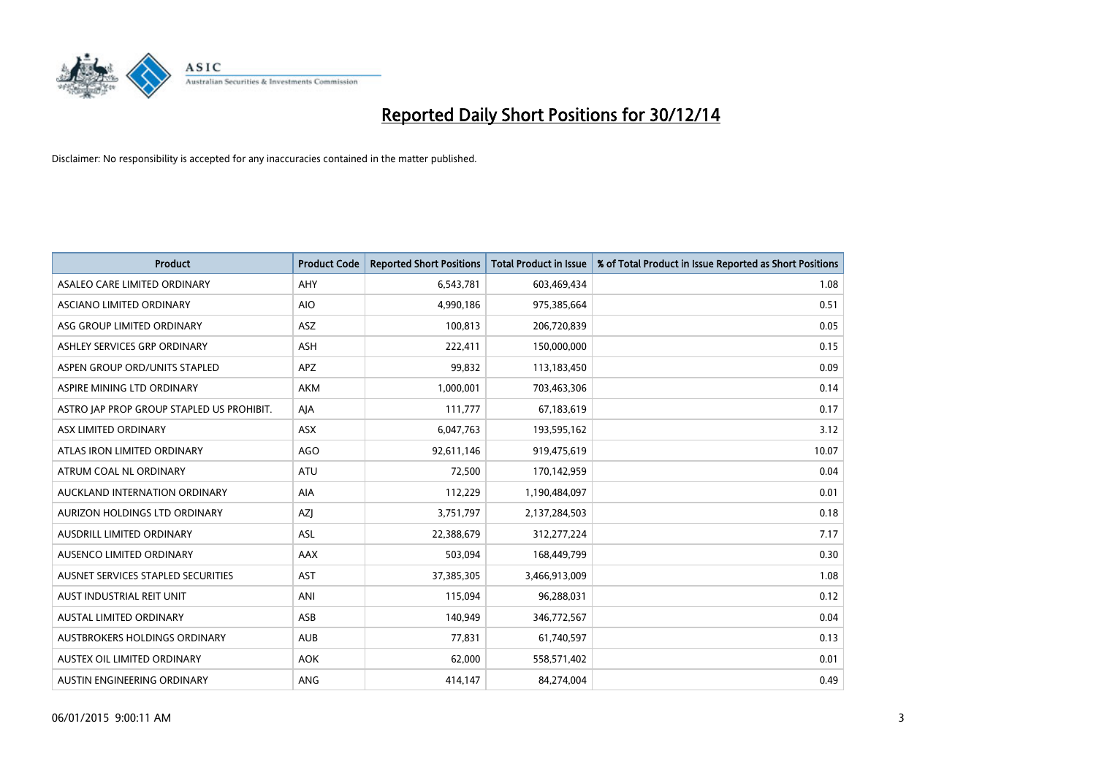

| <b>Product</b>                            | <b>Product Code</b> | <b>Reported Short Positions</b> | <b>Total Product in Issue</b> | % of Total Product in Issue Reported as Short Positions |
|-------------------------------------------|---------------------|---------------------------------|-------------------------------|---------------------------------------------------------|
| ASALEO CARE LIMITED ORDINARY              | AHY                 | 6,543,781                       | 603,469,434                   | 1.08                                                    |
| ASCIANO LIMITED ORDINARY                  | <b>AIO</b>          | 4,990,186                       | 975,385,664                   | 0.51                                                    |
| ASG GROUP LIMITED ORDINARY                | ASZ                 | 100,813                         | 206,720,839                   | 0.05                                                    |
| ASHLEY SERVICES GRP ORDINARY              | <b>ASH</b>          | 222,411                         | 150,000,000                   | 0.15                                                    |
| ASPEN GROUP ORD/UNITS STAPLED             | APZ                 | 99,832                          | 113,183,450                   | 0.09                                                    |
| ASPIRE MINING LTD ORDINARY                | <b>AKM</b>          | 1,000,001                       | 703,463,306                   | 0.14                                                    |
| ASTRO JAP PROP GROUP STAPLED US PROHIBIT. | AJA                 | 111,777                         | 67,183,619                    | 0.17                                                    |
| ASX LIMITED ORDINARY                      | ASX                 | 6,047,763                       | 193,595,162                   | 3.12                                                    |
| ATLAS IRON LIMITED ORDINARY               | AGO                 | 92,611,146                      | 919,475,619                   | 10.07                                                   |
| ATRUM COAL NL ORDINARY                    | ATU                 | 72,500                          | 170,142,959                   | 0.04                                                    |
| AUCKLAND INTERNATION ORDINARY             | AIA                 | 112,229                         | 1,190,484,097                 | 0.01                                                    |
| AURIZON HOLDINGS LTD ORDINARY             | AZJ                 | 3,751,797                       | 2,137,284,503                 | 0.18                                                    |
| AUSDRILL LIMITED ORDINARY                 | ASL                 | 22,388,679                      | 312,277,224                   | 7.17                                                    |
| AUSENCO LIMITED ORDINARY                  | AAX                 | 503,094                         | 168,449,799                   | 0.30                                                    |
| AUSNET SERVICES STAPLED SECURITIES        | AST                 | 37,385,305                      | 3,466,913,009                 | 1.08                                                    |
| AUST INDUSTRIAL REIT UNIT                 | ANI                 | 115,094                         | 96,288,031                    | 0.12                                                    |
| AUSTAL LIMITED ORDINARY                   | ASB                 | 140,949                         | 346,772,567                   | 0.04                                                    |
| AUSTBROKERS HOLDINGS ORDINARY             | <b>AUB</b>          | 77.831                          | 61,740,597                    | 0.13                                                    |
| AUSTEX OIL LIMITED ORDINARY               | <b>AOK</b>          | 62,000                          | 558,571,402                   | 0.01                                                    |
| AUSTIN ENGINEERING ORDINARY               | ANG                 | 414,147                         | 84,274,004                    | 0.49                                                    |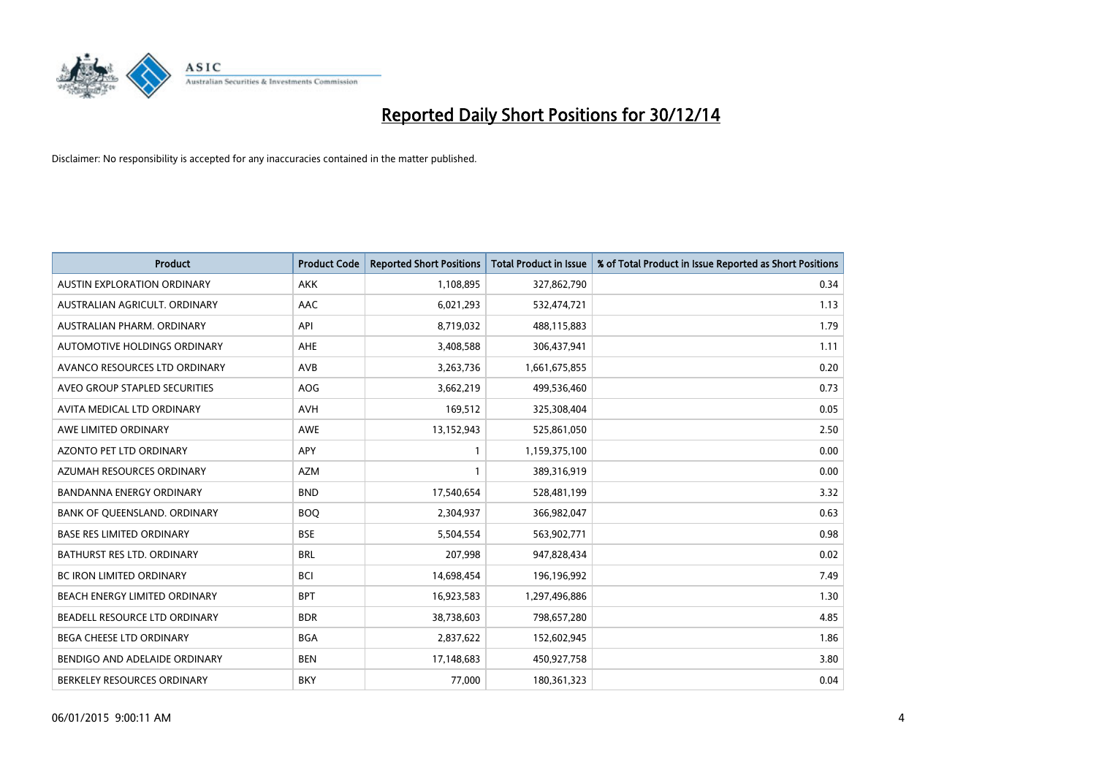

| <b>Product</b>                     | <b>Product Code</b> | <b>Reported Short Positions</b> | <b>Total Product in Issue</b> | % of Total Product in Issue Reported as Short Positions |
|------------------------------------|---------------------|---------------------------------|-------------------------------|---------------------------------------------------------|
| <b>AUSTIN EXPLORATION ORDINARY</b> | <b>AKK</b>          | 1,108,895                       | 327,862,790                   | 0.34                                                    |
| AUSTRALIAN AGRICULT, ORDINARY      | AAC                 | 6,021,293                       | 532,474,721                   | 1.13                                                    |
| AUSTRALIAN PHARM. ORDINARY         | API                 | 8,719,032                       | 488,115,883                   | 1.79                                                    |
| AUTOMOTIVE HOLDINGS ORDINARY       | AHE                 | 3,408,588                       | 306,437,941                   | 1.11                                                    |
| AVANCO RESOURCES LTD ORDINARY      | AVB                 | 3,263,736                       | 1,661,675,855                 | 0.20                                                    |
| AVEO GROUP STAPLED SECURITIES      | AOG                 | 3,662,219                       | 499,536,460                   | 0.73                                                    |
| AVITA MEDICAL LTD ORDINARY         | <b>AVH</b>          | 169,512                         | 325,308,404                   | 0.05                                                    |
| AWE LIMITED ORDINARY               | AWE                 | 13,152,943                      | 525,861,050                   | 2.50                                                    |
| <b>AZONTO PET LTD ORDINARY</b>     | <b>APY</b>          | $\mathbf{1}$                    | 1,159,375,100                 | 0.00                                                    |
| AZUMAH RESOURCES ORDINARY          | <b>AZM</b>          | $\mathbf{1}$                    | 389,316,919                   | 0.00                                                    |
| BANDANNA ENERGY ORDINARY           | <b>BND</b>          | 17,540,654                      | 528,481,199                   | 3.32                                                    |
| BANK OF QUEENSLAND. ORDINARY       | <b>BOQ</b>          | 2,304,937                       | 366,982,047                   | 0.63                                                    |
| <b>BASE RES LIMITED ORDINARY</b>   | <b>BSE</b>          | 5,504,554                       | 563,902,771                   | 0.98                                                    |
| <b>BATHURST RES LTD. ORDINARY</b>  | <b>BRL</b>          | 207,998                         | 947,828,434                   | 0.02                                                    |
| <b>BC IRON LIMITED ORDINARY</b>    | <b>BCI</b>          | 14,698,454                      | 196,196,992                   | 7.49                                                    |
| BEACH ENERGY LIMITED ORDINARY      | <b>BPT</b>          | 16,923,583                      | 1,297,496,886                 | 1.30                                                    |
| BEADELL RESOURCE LTD ORDINARY      | <b>BDR</b>          | 38,738,603                      | 798,657,280                   | 4.85                                                    |
| BEGA CHEESE LTD ORDINARY           | <b>BGA</b>          | 2,837,622                       | 152,602,945                   | 1.86                                                    |
| BENDIGO AND ADELAIDE ORDINARY      | <b>BEN</b>          | 17,148,683                      | 450,927,758                   | 3.80                                                    |
| BERKELEY RESOURCES ORDINARY        | <b>BKY</b>          | 77,000                          | 180,361,323                   | 0.04                                                    |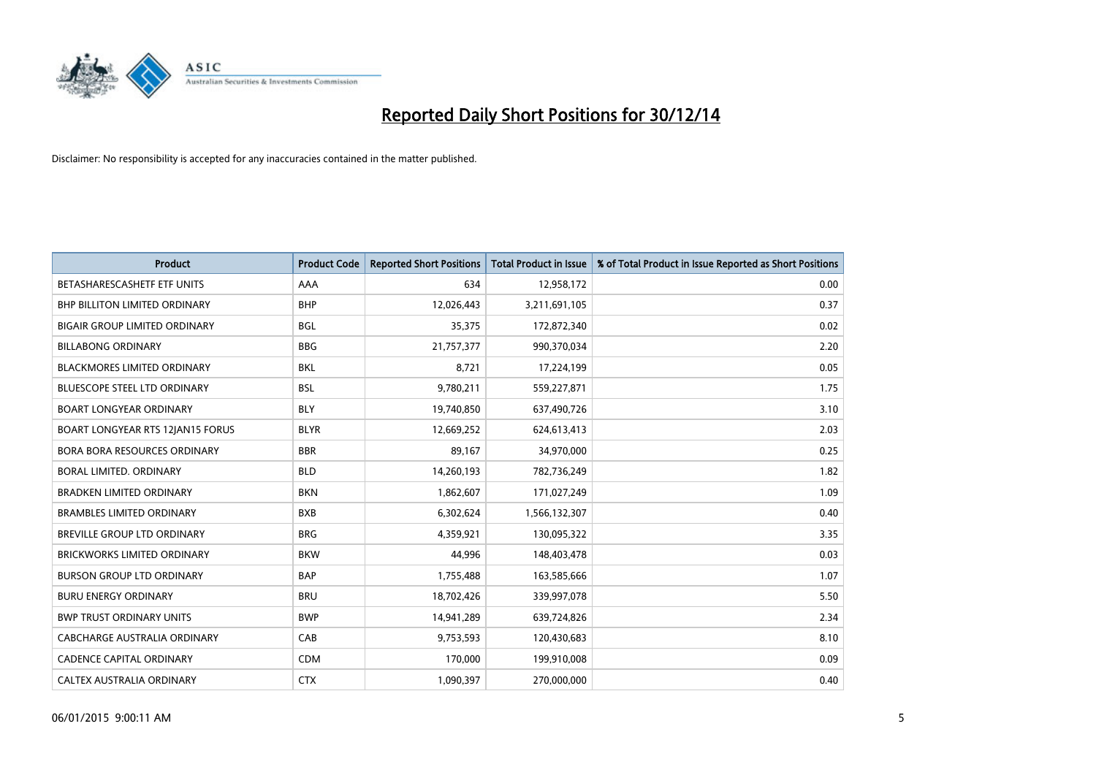

| <b>Product</b>                          | <b>Product Code</b> | <b>Reported Short Positions</b> | <b>Total Product in Issue</b> | % of Total Product in Issue Reported as Short Positions |
|-----------------------------------------|---------------------|---------------------------------|-------------------------------|---------------------------------------------------------|
| BETASHARESCASHETF ETF UNITS             | AAA                 | 634                             | 12,958,172                    | 0.00                                                    |
| BHP BILLITON LIMITED ORDINARY           | <b>BHP</b>          | 12,026,443                      | 3,211,691,105                 | 0.37                                                    |
| <b>BIGAIR GROUP LIMITED ORDINARY</b>    | <b>BGL</b>          | 35,375                          | 172,872,340                   | 0.02                                                    |
| <b>BILLABONG ORDINARY</b>               | <b>BBG</b>          | 21,757,377                      | 990,370,034                   | 2.20                                                    |
| <b>BLACKMORES LIMITED ORDINARY</b>      | <b>BKL</b>          | 8,721                           | 17,224,199                    | 0.05                                                    |
| <b>BLUESCOPE STEEL LTD ORDINARY</b>     | <b>BSL</b>          | 9,780,211                       | 559,227,871                   | 1.75                                                    |
| <b>BOART LONGYEAR ORDINARY</b>          | <b>BLY</b>          | 19,740,850                      | 637,490,726                   | 3.10                                                    |
| <b>BOART LONGYEAR RTS 12JAN15 FORUS</b> | <b>BLYR</b>         | 12,669,252                      | 624,613,413                   | 2.03                                                    |
| <b>BORA BORA RESOURCES ORDINARY</b>     | <b>BBR</b>          | 89,167                          | 34,970,000                    | 0.25                                                    |
| <b>BORAL LIMITED, ORDINARY</b>          | <b>BLD</b>          | 14,260,193                      | 782,736,249                   | 1.82                                                    |
| BRADKEN LIMITED ORDINARY                | <b>BKN</b>          | 1,862,607                       | 171,027,249                   | 1.09                                                    |
| <b>BRAMBLES LIMITED ORDINARY</b>        | <b>BXB</b>          | 6,302,624                       | 1,566,132,307                 | 0.40                                                    |
| BREVILLE GROUP LTD ORDINARY             | <b>BRG</b>          | 4,359,921                       | 130,095,322                   | 3.35                                                    |
| <b>BRICKWORKS LIMITED ORDINARY</b>      | <b>BKW</b>          | 44,996                          | 148,403,478                   | 0.03                                                    |
| <b>BURSON GROUP LTD ORDINARY</b>        | <b>BAP</b>          | 1,755,488                       | 163,585,666                   | 1.07                                                    |
| <b>BURU ENERGY ORDINARY</b>             | <b>BRU</b>          | 18,702,426                      | 339,997,078                   | 5.50                                                    |
| <b>BWP TRUST ORDINARY UNITS</b>         | <b>BWP</b>          | 14,941,289                      | 639,724,826                   | 2.34                                                    |
| CABCHARGE AUSTRALIA ORDINARY            | CAB                 | 9,753,593                       | 120,430,683                   | 8.10                                                    |
| <b>CADENCE CAPITAL ORDINARY</b>         | <b>CDM</b>          | 170,000                         | 199,910,008                   | 0.09                                                    |
| CALTEX AUSTRALIA ORDINARY               | <b>CTX</b>          | 1,090,397                       | 270,000,000                   | 0.40                                                    |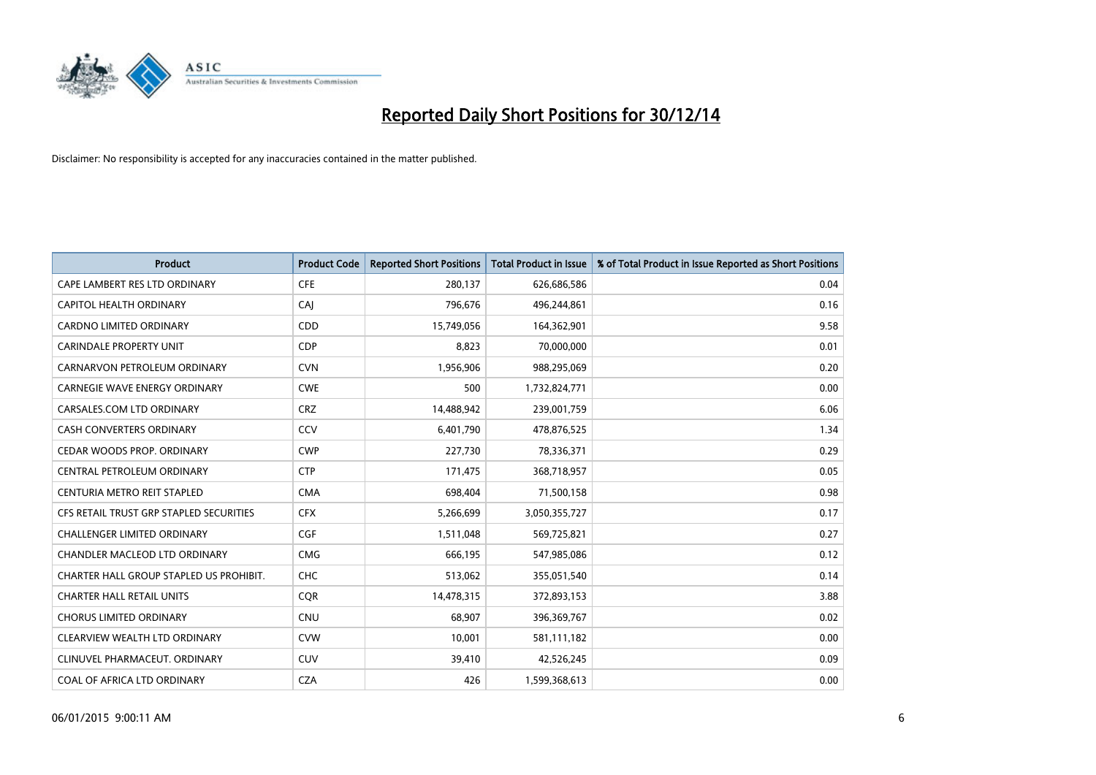

| <b>Product</b>                          | <b>Product Code</b> | <b>Reported Short Positions</b> | <b>Total Product in Issue</b> | % of Total Product in Issue Reported as Short Positions |
|-----------------------------------------|---------------------|---------------------------------|-------------------------------|---------------------------------------------------------|
| CAPE LAMBERT RES LTD ORDINARY           | <b>CFE</b>          | 280,137                         | 626,686,586                   | 0.04                                                    |
| CAPITOL HEALTH ORDINARY                 | CAI                 | 796,676                         | 496,244,861                   | 0.16                                                    |
| <b>CARDNO LIMITED ORDINARY</b>          | CDD                 | 15,749,056                      | 164,362,901                   | 9.58                                                    |
| CARINDALE PROPERTY UNIT                 | <b>CDP</b>          | 8,823                           | 70,000,000                    | 0.01                                                    |
| CARNARVON PETROLEUM ORDINARY            | <b>CVN</b>          | 1,956,906                       | 988,295,069                   | 0.20                                                    |
| <b>CARNEGIE WAVE ENERGY ORDINARY</b>    | <b>CWE</b>          | 500                             | 1,732,824,771                 | 0.00                                                    |
| CARSALES.COM LTD ORDINARY               | <b>CRZ</b>          | 14,488,942                      | 239,001,759                   | 6.06                                                    |
| CASH CONVERTERS ORDINARY                | CCV                 | 6,401,790                       | 478,876,525                   | 1.34                                                    |
| CEDAR WOODS PROP. ORDINARY              | <b>CWP</b>          | 227,730                         | 78,336,371                    | 0.29                                                    |
| CENTRAL PETROLEUM ORDINARY              | <b>CTP</b>          | 171,475                         | 368,718,957                   | 0.05                                                    |
| CENTURIA METRO REIT STAPLED             | <b>CMA</b>          | 698,404                         | 71,500,158                    | 0.98                                                    |
| CFS RETAIL TRUST GRP STAPLED SECURITIES | <b>CFX</b>          | 5,266,699                       | 3,050,355,727                 | 0.17                                                    |
| <b>CHALLENGER LIMITED ORDINARY</b>      | <b>CGF</b>          | 1,511,048                       | 569,725,821                   | 0.27                                                    |
| CHANDLER MACLEOD LTD ORDINARY           | <b>CMG</b>          | 666,195                         | 547,985,086                   | 0.12                                                    |
| CHARTER HALL GROUP STAPLED US PROHIBIT. | CHC                 | 513,062                         | 355,051,540                   | 0.14                                                    |
| <b>CHARTER HALL RETAIL UNITS</b>        | <b>COR</b>          | 14,478,315                      | 372,893,153                   | 3.88                                                    |
| <b>CHORUS LIMITED ORDINARY</b>          | <b>CNU</b>          | 68,907                          | 396,369,767                   | 0.02                                                    |
| CLEARVIEW WEALTH LTD ORDINARY           | <b>CVW</b>          | 10,001                          | 581,111,182                   | 0.00                                                    |
| CLINUVEL PHARMACEUT, ORDINARY           | <b>CUV</b>          | 39,410                          | 42,526,245                    | 0.09                                                    |
| COAL OF AFRICA LTD ORDINARY             | <b>CZA</b>          | 426                             | 1,599,368,613                 | 0.00                                                    |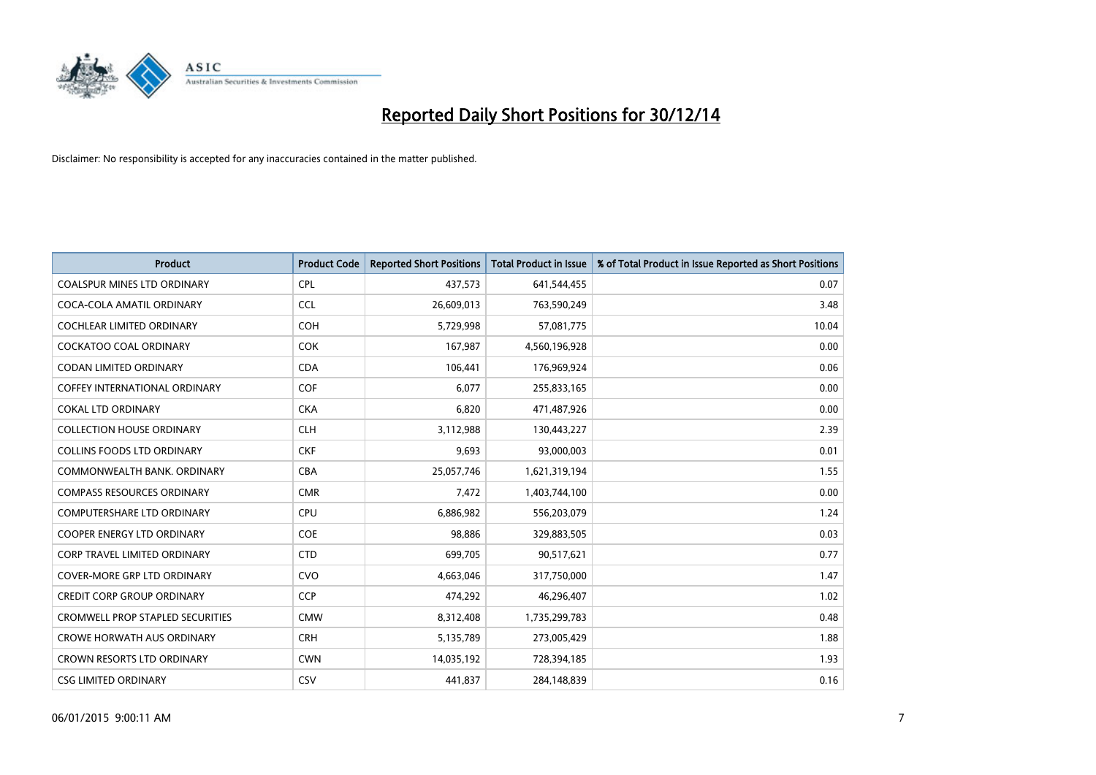

| <b>Product</b>                          | <b>Product Code</b> | <b>Reported Short Positions</b> | <b>Total Product in Issue</b> | % of Total Product in Issue Reported as Short Positions |
|-----------------------------------------|---------------------|---------------------------------|-------------------------------|---------------------------------------------------------|
| <b>COALSPUR MINES LTD ORDINARY</b>      | <b>CPL</b>          | 437,573                         | 641,544,455                   | 0.07                                                    |
| COCA-COLA AMATIL ORDINARY               | <b>CCL</b>          | 26,609,013                      | 763,590,249                   | 3.48                                                    |
| COCHLEAR LIMITED ORDINARY               | <b>COH</b>          | 5,729,998                       | 57,081,775                    | 10.04                                                   |
| COCKATOO COAL ORDINARY                  | <b>COK</b>          | 167,987                         | 4,560,196,928                 | 0.00                                                    |
| <b>CODAN LIMITED ORDINARY</b>           | <b>CDA</b>          | 106,441                         | 176,969,924                   | 0.06                                                    |
| <b>COFFEY INTERNATIONAL ORDINARY</b>    | COF                 | 6,077                           | 255,833,165                   | 0.00                                                    |
| <b>COKAL LTD ORDINARY</b>               | <b>CKA</b>          | 6,820                           | 471,487,926                   | 0.00                                                    |
| <b>COLLECTION HOUSE ORDINARY</b>        | <b>CLH</b>          | 3,112,988                       | 130,443,227                   | 2.39                                                    |
| <b>COLLINS FOODS LTD ORDINARY</b>       | <b>CKF</b>          | 9,693                           | 93,000,003                    | 0.01                                                    |
| COMMONWEALTH BANK, ORDINARY             | <b>CBA</b>          | 25,057,746                      | 1,621,319,194                 | 1.55                                                    |
| <b>COMPASS RESOURCES ORDINARY</b>       | <b>CMR</b>          | 7,472                           | 1,403,744,100                 | 0.00                                                    |
| <b>COMPUTERSHARE LTD ORDINARY</b>       | <b>CPU</b>          | 6,886,982                       | 556,203,079                   | 1.24                                                    |
| COOPER ENERGY LTD ORDINARY              | <b>COE</b>          | 98,886                          | 329,883,505                   | 0.03                                                    |
| <b>CORP TRAVEL LIMITED ORDINARY</b>     | <b>CTD</b>          | 699,705                         | 90,517,621                    | 0.77                                                    |
| <b>COVER-MORE GRP LTD ORDINARY</b>      | <b>CVO</b>          | 4,663,046                       | 317,750,000                   | 1.47                                                    |
| <b>CREDIT CORP GROUP ORDINARY</b>       | <b>CCP</b>          | 474,292                         | 46,296,407                    | 1.02                                                    |
| <b>CROMWELL PROP STAPLED SECURITIES</b> | <b>CMW</b>          | 8,312,408                       | 1,735,299,783                 | 0.48                                                    |
| <b>CROWE HORWATH AUS ORDINARY</b>       | <b>CRH</b>          | 5,135,789                       | 273,005,429                   | 1.88                                                    |
| <b>CROWN RESORTS LTD ORDINARY</b>       | <b>CWN</b>          | 14,035,192                      | 728,394,185                   | 1.93                                                    |
| <b>CSG LIMITED ORDINARY</b>             | <b>CSV</b>          | 441,837                         | 284,148,839                   | 0.16                                                    |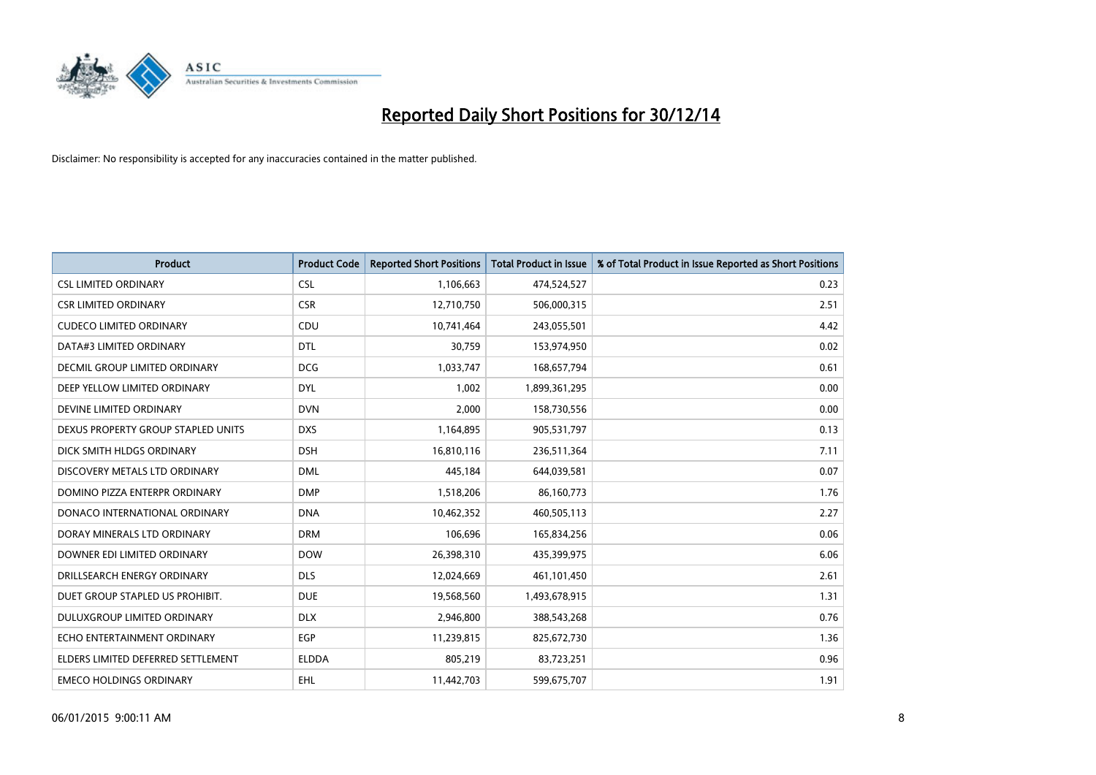

| <b>Product</b>                       | <b>Product Code</b> | <b>Reported Short Positions</b> | <b>Total Product in Issue</b> | % of Total Product in Issue Reported as Short Positions |
|--------------------------------------|---------------------|---------------------------------|-------------------------------|---------------------------------------------------------|
| <b>CSL LIMITED ORDINARY</b>          | <b>CSL</b>          | 1,106,663                       | 474,524,527                   | 0.23                                                    |
| <b>CSR LIMITED ORDINARY</b>          | <b>CSR</b>          | 12,710,750                      | 506,000,315                   | 2.51                                                    |
| <b>CUDECO LIMITED ORDINARY</b>       | CDU                 | 10,741,464                      | 243,055,501                   | 4.42                                                    |
| DATA#3 LIMITED ORDINARY              | <b>DTL</b>          | 30,759                          | 153,974,950                   | 0.02                                                    |
| <b>DECMIL GROUP LIMITED ORDINARY</b> | <b>DCG</b>          | 1,033,747                       | 168,657,794                   | 0.61                                                    |
| DEEP YELLOW LIMITED ORDINARY         | <b>DYL</b>          | 1,002                           | 1,899,361,295                 | 0.00                                                    |
| DEVINE LIMITED ORDINARY              | <b>DVN</b>          | 2,000                           | 158,730,556                   | 0.00                                                    |
| DEXUS PROPERTY GROUP STAPLED UNITS   | <b>DXS</b>          | 1,164,895                       | 905,531,797                   | 0.13                                                    |
| DICK SMITH HLDGS ORDINARY            | <b>DSH</b>          | 16,810,116                      | 236,511,364                   | 7.11                                                    |
| DISCOVERY METALS LTD ORDINARY        | <b>DML</b>          | 445,184                         | 644,039,581                   | 0.07                                                    |
| DOMINO PIZZA ENTERPR ORDINARY        | <b>DMP</b>          | 1,518,206                       | 86,160,773                    | 1.76                                                    |
| DONACO INTERNATIONAL ORDINARY        | <b>DNA</b>          | 10,462,352                      | 460,505,113                   | 2.27                                                    |
| DORAY MINERALS LTD ORDINARY          | <b>DRM</b>          | 106,696                         | 165,834,256                   | 0.06                                                    |
| DOWNER EDI LIMITED ORDINARY          | <b>DOW</b>          | 26,398,310                      | 435,399,975                   | 6.06                                                    |
| DRILLSEARCH ENERGY ORDINARY          | <b>DLS</b>          | 12,024,669                      | 461,101,450                   | 2.61                                                    |
| DUET GROUP STAPLED US PROHIBIT.      | <b>DUE</b>          | 19,568,560                      | 1,493,678,915                 | 1.31                                                    |
| DULUXGROUP LIMITED ORDINARY          | <b>DLX</b>          | 2,946,800                       | 388,543,268                   | 0.76                                                    |
| ECHO ENTERTAINMENT ORDINARY          | <b>EGP</b>          | 11,239,815                      | 825,672,730                   | 1.36                                                    |
| ELDERS LIMITED DEFERRED SETTLEMENT   | <b>ELDDA</b>        | 805,219                         | 83,723,251                    | 0.96                                                    |
| <b>EMECO HOLDINGS ORDINARY</b>       | EHL                 | 11,442,703                      | 599,675,707                   | 1.91                                                    |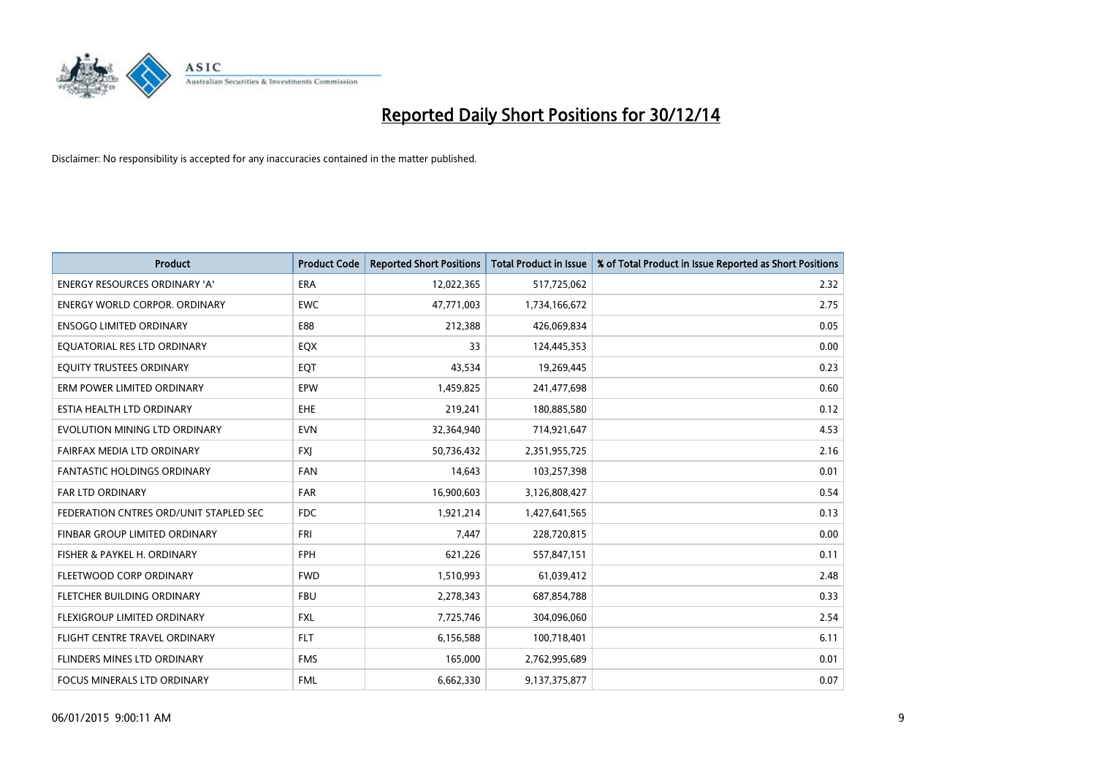

| <b>Product</b>                         | <b>Product Code</b> | <b>Reported Short Positions</b> | <b>Total Product in Issue</b> | % of Total Product in Issue Reported as Short Positions |
|----------------------------------------|---------------------|---------------------------------|-------------------------------|---------------------------------------------------------|
| <b>ENERGY RESOURCES ORDINARY 'A'</b>   | <b>ERA</b>          | 12,022,365                      | 517,725,062                   | 2.32                                                    |
| <b>ENERGY WORLD CORPOR. ORDINARY</b>   | <b>EWC</b>          | 47,771,003                      | 1,734,166,672                 | 2.75                                                    |
| <b>ENSOGO LIMITED ORDINARY</b>         | E88                 | 212,388                         | 426,069,834                   | 0.05                                                    |
| EQUATORIAL RES LTD ORDINARY            | EQX                 | 33                              | 124,445,353                   | 0.00                                                    |
| EQUITY TRUSTEES ORDINARY               | EQT                 | 43,534                          | 19,269,445                    | 0.23                                                    |
| ERM POWER LIMITED ORDINARY             | EPW                 | 1,459,825                       | 241,477,698                   | 0.60                                                    |
| ESTIA HEALTH LTD ORDINARY              | EHE                 | 219,241                         | 180,885,580                   | 0.12                                                    |
| EVOLUTION MINING LTD ORDINARY          | <b>EVN</b>          | 32,364,940                      | 714,921,647                   | 4.53                                                    |
| FAIRFAX MEDIA LTD ORDINARY             | <b>FXI</b>          | 50,736,432                      | 2,351,955,725                 | 2.16                                                    |
| <b>FANTASTIC HOLDINGS ORDINARY</b>     | <b>FAN</b>          | 14,643                          | 103,257,398                   | 0.01                                                    |
| FAR LTD ORDINARY                       | FAR                 | 16,900,603                      | 3,126,808,427                 | 0.54                                                    |
| FEDERATION CNTRES ORD/UNIT STAPLED SEC | FDC                 | 1,921,214                       | 1,427,641,565                 | 0.13                                                    |
| FINBAR GROUP LIMITED ORDINARY          | <b>FRI</b>          | 7,447                           | 228,720,815                   | 0.00                                                    |
| FISHER & PAYKEL H. ORDINARY            | <b>FPH</b>          | 621,226                         | 557,847,151                   | 0.11                                                    |
| FLEETWOOD CORP ORDINARY                | <b>FWD</b>          | 1,510,993                       | 61,039,412                    | 2.48                                                    |
| FLETCHER BUILDING ORDINARY             | <b>FBU</b>          | 2,278,343                       | 687,854,788                   | 0.33                                                    |
| FLEXIGROUP LIMITED ORDINARY            | FXL                 | 7,725,746                       | 304,096,060                   | 2.54                                                    |
| FLIGHT CENTRE TRAVEL ORDINARY          | <b>FLT</b>          | 6,156,588                       | 100,718,401                   | 6.11                                                    |
| FLINDERS MINES LTD ORDINARY            | <b>FMS</b>          | 165,000                         | 2,762,995,689                 | 0.01                                                    |
| <b>FOCUS MINERALS LTD ORDINARY</b>     | <b>FML</b>          | 6,662,330                       | 9,137,375,877                 | 0.07                                                    |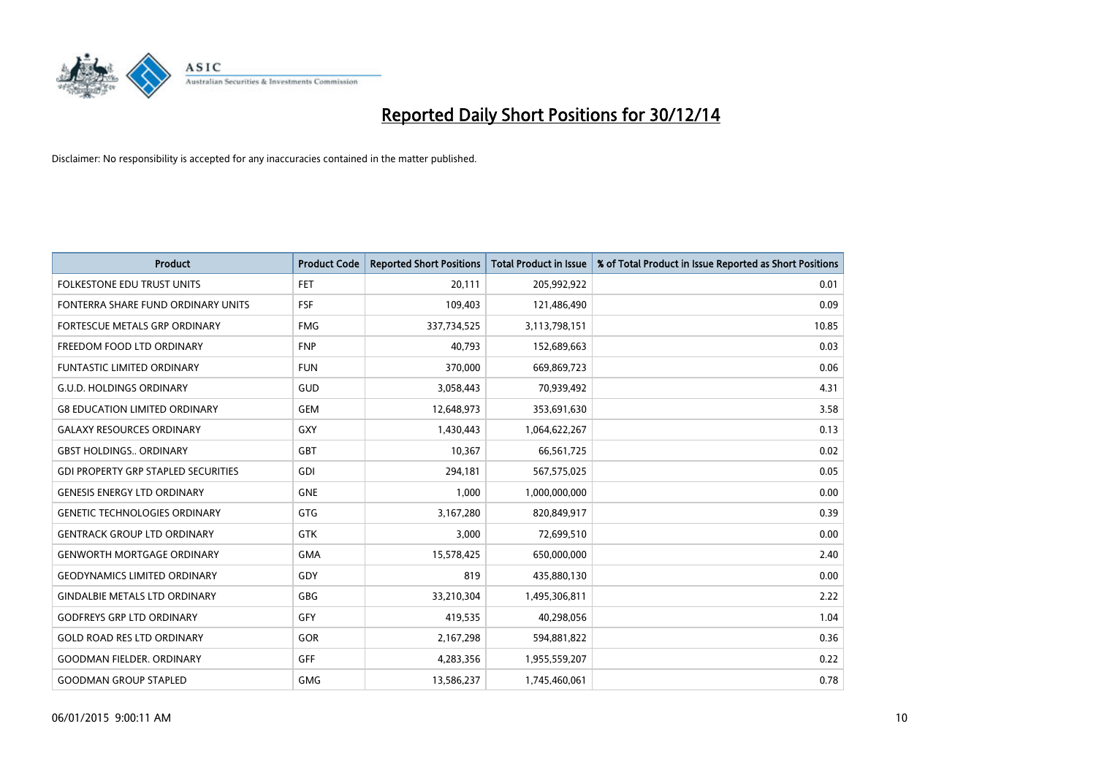

| <b>Product</b>                             | <b>Product Code</b> | <b>Reported Short Positions</b> | <b>Total Product in Issue</b> | % of Total Product in Issue Reported as Short Positions |
|--------------------------------------------|---------------------|---------------------------------|-------------------------------|---------------------------------------------------------|
| <b>FOLKESTONE EDU TRUST UNITS</b>          | <b>FET</b>          | 20,111                          | 205,992,922                   | 0.01                                                    |
| FONTERRA SHARE FUND ORDINARY UNITS         | <b>FSF</b>          | 109,403                         | 121,486,490                   | 0.09                                                    |
| FORTESCUE METALS GRP ORDINARY              | <b>FMG</b>          | 337,734,525                     | 3,113,798,151                 | 10.85                                                   |
| FREEDOM FOOD LTD ORDINARY                  | <b>FNP</b>          | 40,793                          | 152,689,663                   | 0.03                                                    |
| <b>FUNTASTIC LIMITED ORDINARY</b>          | <b>FUN</b>          | 370,000                         | 669,869,723                   | 0.06                                                    |
| <b>G.U.D. HOLDINGS ORDINARY</b>            | GUD                 | 3,058,443                       | 70,939,492                    | 4.31                                                    |
| <b>G8 EDUCATION LIMITED ORDINARY</b>       | <b>GEM</b>          | 12,648,973                      | 353,691,630                   | 3.58                                                    |
| <b>GALAXY RESOURCES ORDINARY</b>           | GXY                 | 1,430,443                       | 1,064,622,267                 | 0.13                                                    |
| <b>GBST HOLDINGS ORDINARY</b>              | GBT                 | 10,367                          | 66,561,725                    | 0.02                                                    |
| <b>GDI PROPERTY GRP STAPLED SECURITIES</b> | GDI                 | 294,181                         | 567,575,025                   | 0.05                                                    |
| <b>GENESIS ENERGY LTD ORDINARY</b>         | <b>GNE</b>          | 1,000                           | 1,000,000,000                 | 0.00                                                    |
| <b>GENETIC TECHNOLOGIES ORDINARY</b>       | GTG                 | 3,167,280                       | 820,849,917                   | 0.39                                                    |
| <b>GENTRACK GROUP LTD ORDINARY</b>         | GTK                 | 3,000                           | 72,699,510                    | 0.00                                                    |
| <b>GENWORTH MORTGAGE ORDINARY</b>          | <b>GMA</b>          | 15,578,425                      | 650,000,000                   | 2.40                                                    |
| <b>GEODYNAMICS LIMITED ORDINARY</b>        | GDY                 | 819                             | 435,880,130                   | 0.00                                                    |
| <b>GINDALBIE METALS LTD ORDINARY</b>       | <b>GBG</b>          | 33,210,304                      | 1,495,306,811                 | 2.22                                                    |
| <b>GODFREYS GRP LTD ORDINARY</b>           | GFY                 | 419,535                         | 40,298,056                    | 1.04                                                    |
| <b>GOLD ROAD RES LTD ORDINARY</b>          | GOR                 | 2,167,298                       | 594,881,822                   | 0.36                                                    |
| <b>GOODMAN FIELDER, ORDINARY</b>           | GFF                 | 4,283,356                       | 1,955,559,207                 | 0.22                                                    |
| <b>GOODMAN GROUP STAPLED</b>               | <b>GMG</b>          | 13,586,237                      | 1,745,460,061                 | 0.78                                                    |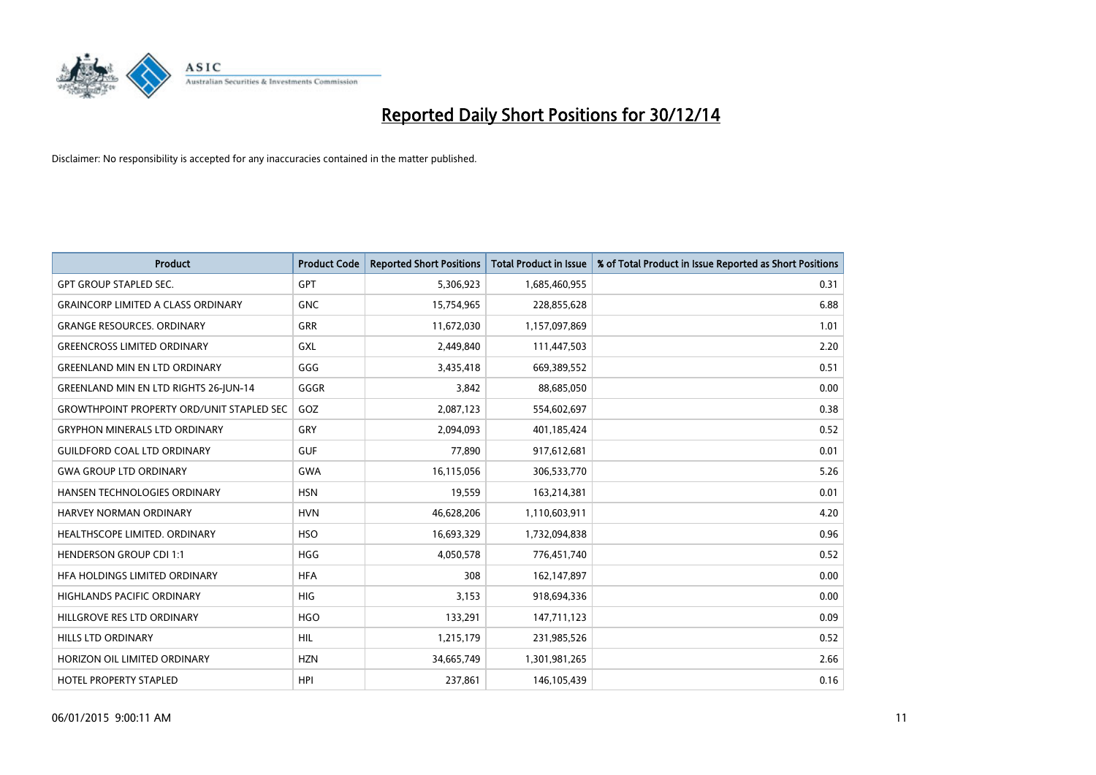

| <b>Product</b>                                   | <b>Product Code</b> | <b>Reported Short Positions</b> | <b>Total Product in Issue</b> | % of Total Product in Issue Reported as Short Positions |
|--------------------------------------------------|---------------------|---------------------------------|-------------------------------|---------------------------------------------------------|
| <b>GPT GROUP STAPLED SEC.</b>                    | <b>GPT</b>          | 5,306,923                       | 1,685,460,955                 | 0.31                                                    |
| <b>GRAINCORP LIMITED A CLASS ORDINARY</b>        | <b>GNC</b>          | 15,754,965                      | 228,855,628                   | 6.88                                                    |
| <b>GRANGE RESOURCES. ORDINARY</b>                | GRR                 | 11,672,030                      | 1,157,097,869                 | 1.01                                                    |
| <b>GREENCROSS LIMITED ORDINARY</b>               | <b>GXL</b>          | 2,449,840                       | 111,447,503                   | 2.20                                                    |
| <b>GREENLAND MIN EN LTD ORDINARY</b>             | GGG                 | 3,435,418                       | 669,389,552                   | 0.51                                                    |
| <b>GREENLAND MIN EN LTD RIGHTS 26-JUN-14</b>     | GGGR                | 3,842                           | 88,685,050                    | 0.00                                                    |
| <b>GROWTHPOINT PROPERTY ORD/UNIT STAPLED SEC</b> | GOZ                 | 2,087,123                       | 554,602,697                   | 0.38                                                    |
| <b>GRYPHON MINERALS LTD ORDINARY</b>             | GRY                 | 2,094,093                       | 401,185,424                   | 0.52                                                    |
| <b>GUILDFORD COAL LTD ORDINARY</b>               | <b>GUF</b>          | 77,890                          | 917,612,681                   | 0.01                                                    |
| <b>GWA GROUP LTD ORDINARY</b>                    | <b>GWA</b>          | 16,115,056                      | 306,533,770                   | 5.26                                                    |
| HANSEN TECHNOLOGIES ORDINARY                     | <b>HSN</b>          | 19,559                          | 163,214,381                   | 0.01                                                    |
| HARVEY NORMAN ORDINARY                           | <b>HVN</b>          | 46,628,206                      | 1,110,603,911                 | 4.20                                                    |
| HEALTHSCOPE LIMITED. ORDINARY                    | <b>HSO</b>          | 16,693,329                      | 1,732,094,838                 | 0.96                                                    |
| <b>HENDERSON GROUP CDI 1:1</b>                   | <b>HGG</b>          | 4,050,578                       | 776,451,740                   | 0.52                                                    |
| HFA HOLDINGS LIMITED ORDINARY                    | <b>HFA</b>          | 308                             | 162,147,897                   | 0.00                                                    |
| HIGHLANDS PACIFIC ORDINARY                       | <b>HIG</b>          | 3,153                           | 918,694,336                   | 0.00                                                    |
| HILLGROVE RES LTD ORDINARY                       | <b>HGO</b>          | 133,291                         | 147,711,123                   | 0.09                                                    |
| HILLS LTD ORDINARY                               | <b>HIL</b>          | 1,215,179                       | 231,985,526                   | 0.52                                                    |
| HORIZON OIL LIMITED ORDINARY                     | <b>HZN</b>          | 34,665,749                      | 1,301,981,265                 | 2.66                                                    |
| <b>HOTEL PROPERTY STAPLED</b>                    | <b>HPI</b>          | 237,861                         | 146,105,439                   | 0.16                                                    |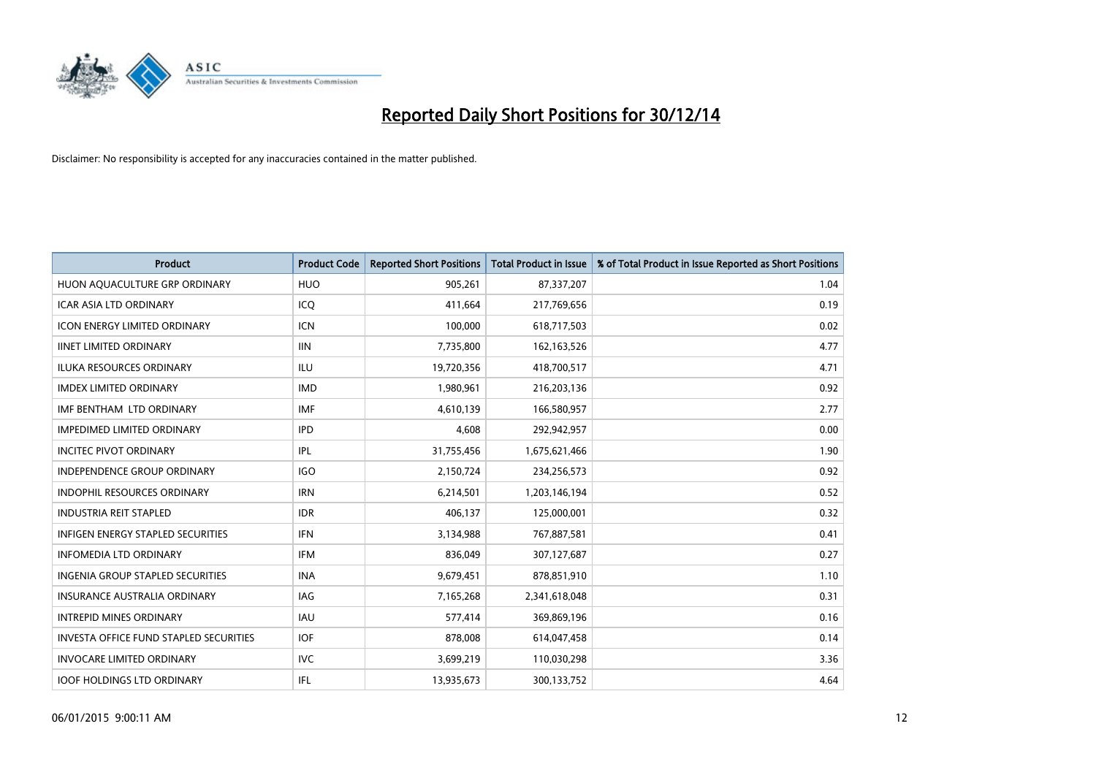

| <b>Product</b>                                | <b>Product Code</b> | <b>Reported Short Positions</b> | <b>Total Product in Issue</b> | % of Total Product in Issue Reported as Short Positions |
|-----------------------------------------------|---------------------|---------------------------------|-------------------------------|---------------------------------------------------------|
| HUON AQUACULTURE GRP ORDINARY                 | <b>HUO</b>          | 905,261                         | 87,337,207                    | 1.04                                                    |
| ICAR ASIA LTD ORDINARY                        | ICQ                 | 411,664                         | 217,769,656                   | 0.19                                                    |
| <b>ICON ENERGY LIMITED ORDINARY</b>           | <b>ICN</b>          | 100,000                         | 618,717,503                   | 0.02                                                    |
| <b>IINET LIMITED ORDINARY</b>                 | <b>IIN</b>          | 7,735,800                       | 162,163,526                   | 4.77                                                    |
| <b>ILUKA RESOURCES ORDINARY</b>               | ILU                 | 19,720,356                      | 418,700,517                   | 4.71                                                    |
| <b>IMDEX LIMITED ORDINARY</b>                 | <b>IMD</b>          | 1,980,961                       | 216,203,136                   | 0.92                                                    |
| IMF BENTHAM LTD ORDINARY                      | <b>IMF</b>          | 4,610,139                       | 166,580,957                   | 2.77                                                    |
| <b>IMPEDIMED LIMITED ORDINARY</b>             | <b>IPD</b>          | 4,608                           | 292,942,957                   | 0.00                                                    |
| <b>INCITEC PIVOT ORDINARY</b>                 | IPL                 | 31,755,456                      | 1,675,621,466                 | 1.90                                                    |
| <b>INDEPENDENCE GROUP ORDINARY</b>            | <b>IGO</b>          | 2,150,724                       | 234,256,573                   | 0.92                                                    |
| INDOPHIL RESOURCES ORDINARY                   | <b>IRN</b>          | 6,214,501                       | 1,203,146,194                 | 0.52                                                    |
| <b>INDUSTRIA REIT STAPLED</b>                 | <b>IDR</b>          | 406,137                         | 125,000,001                   | 0.32                                                    |
| INFIGEN ENERGY STAPLED SECURITIES             | <b>IFN</b>          | 3,134,988                       | 767,887,581                   | 0.41                                                    |
| <b>INFOMEDIA LTD ORDINARY</b>                 | IFM                 | 836,049                         | 307,127,687                   | 0.27                                                    |
| <b>INGENIA GROUP STAPLED SECURITIES</b>       | <b>INA</b>          | 9,679,451                       | 878,851,910                   | 1.10                                                    |
| INSURANCE AUSTRALIA ORDINARY                  | IAG                 | 7,165,268                       | 2,341,618,048                 | 0.31                                                    |
| <b>INTREPID MINES ORDINARY</b>                | <b>IAU</b>          | 577,414                         | 369,869,196                   | 0.16                                                    |
| <b>INVESTA OFFICE FUND STAPLED SECURITIES</b> | <b>IOF</b>          | 878,008                         | 614,047,458                   | 0.14                                                    |
| <b>INVOCARE LIMITED ORDINARY</b>              | <b>IVC</b>          | 3,699,219                       | 110,030,298                   | 3.36                                                    |
| <b>IOOF HOLDINGS LTD ORDINARY</b>             | IFL                 | 13,935,673                      | 300,133,752                   | 4.64                                                    |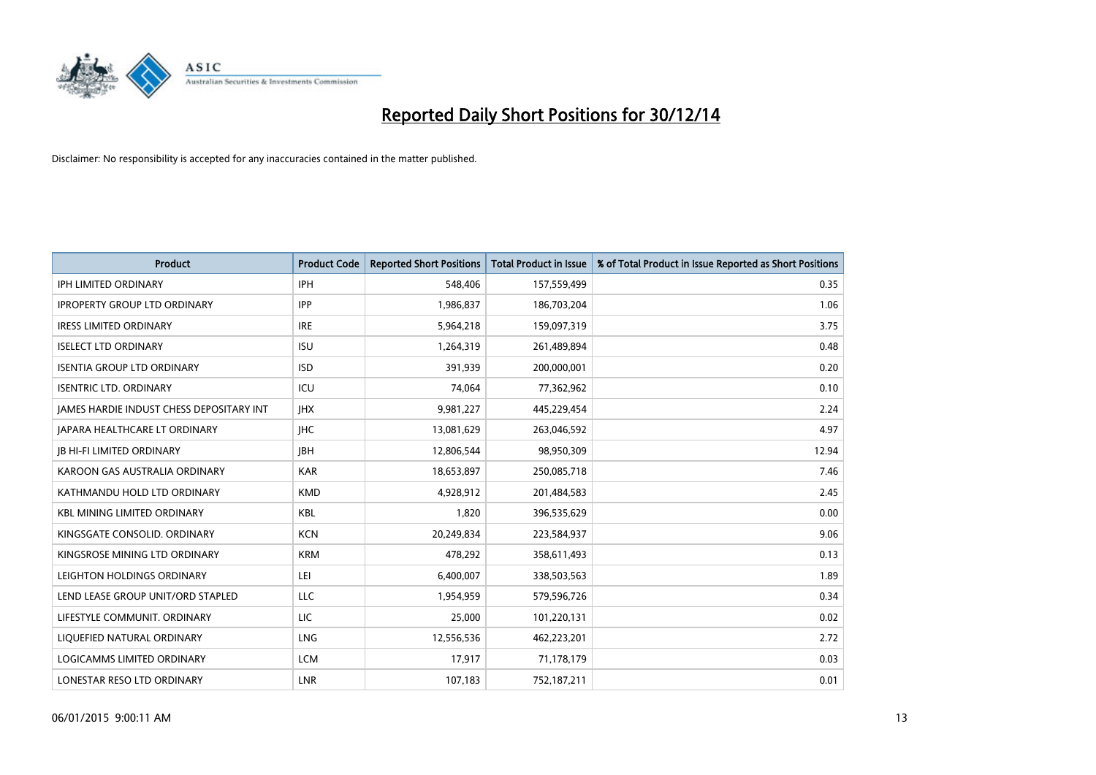

| <b>Product</b>                                  | <b>Product Code</b> | <b>Reported Short Positions</b> | <b>Total Product in Issue</b> | % of Total Product in Issue Reported as Short Positions |
|-------------------------------------------------|---------------------|---------------------------------|-------------------------------|---------------------------------------------------------|
| <b>IPH LIMITED ORDINARY</b>                     | <b>IPH</b>          | 548,406                         | 157,559,499                   | 0.35                                                    |
| <b>IPROPERTY GROUP LTD ORDINARY</b>             | <b>IPP</b>          | 1,986,837                       | 186,703,204                   | 1.06                                                    |
| <b>IRESS LIMITED ORDINARY</b>                   | <b>IRE</b>          | 5,964,218                       | 159,097,319                   | 3.75                                                    |
| <b>ISELECT LTD ORDINARY</b>                     | <b>ISU</b>          | 1,264,319                       | 261,489,894                   | 0.48                                                    |
| <b>ISENTIA GROUP LTD ORDINARY</b>               | <b>ISD</b>          | 391,939                         | 200,000,001                   | 0.20                                                    |
| <b>ISENTRIC LTD. ORDINARY</b>                   | ICU                 | 74,064                          | 77,362,962                    | 0.10                                                    |
| <b>JAMES HARDIE INDUST CHESS DEPOSITARY INT</b> | <b>IHX</b>          | 9,981,227                       | 445,229,454                   | 2.24                                                    |
| <b>JAPARA HEALTHCARE LT ORDINARY</b>            | <b>IHC</b>          | 13,081,629                      | 263,046,592                   | 4.97                                                    |
| <b>JB HI-FI LIMITED ORDINARY</b>                | <b>JBH</b>          | 12,806,544                      | 98,950,309                    | 12.94                                                   |
| KAROON GAS AUSTRALIA ORDINARY                   | <b>KAR</b>          | 18,653,897                      | 250,085,718                   | 7.46                                                    |
| KATHMANDU HOLD LTD ORDINARY                     | <b>KMD</b>          | 4,928,912                       | 201,484,583                   | 2.45                                                    |
| <b>KBL MINING LIMITED ORDINARY</b>              | <b>KBL</b>          | 1,820                           | 396,535,629                   | 0.00                                                    |
| KINGSGATE CONSOLID. ORDINARY                    | <b>KCN</b>          | 20,249,834                      | 223,584,937                   | 9.06                                                    |
| KINGSROSE MINING LTD ORDINARY                   | <b>KRM</b>          | 478,292                         | 358,611,493                   | 0.13                                                    |
| LEIGHTON HOLDINGS ORDINARY                      | LEI                 | 6,400,007                       | 338,503,563                   | 1.89                                                    |
| LEND LEASE GROUP UNIT/ORD STAPLED               | LLC                 | 1,954,959                       | 579,596,726                   | 0.34                                                    |
| LIFESTYLE COMMUNIT. ORDINARY                    | LIC                 | 25,000                          | 101,220,131                   | 0.02                                                    |
| LIQUEFIED NATURAL ORDINARY                      | <b>LNG</b>          | 12,556,536                      | 462,223,201                   | 2.72                                                    |
| LOGICAMMS LIMITED ORDINARY                      | <b>LCM</b>          | 17,917                          | 71,178,179                    | 0.03                                                    |
| LONESTAR RESO LTD ORDINARY                      | <b>LNR</b>          | 107,183                         | 752,187,211                   | 0.01                                                    |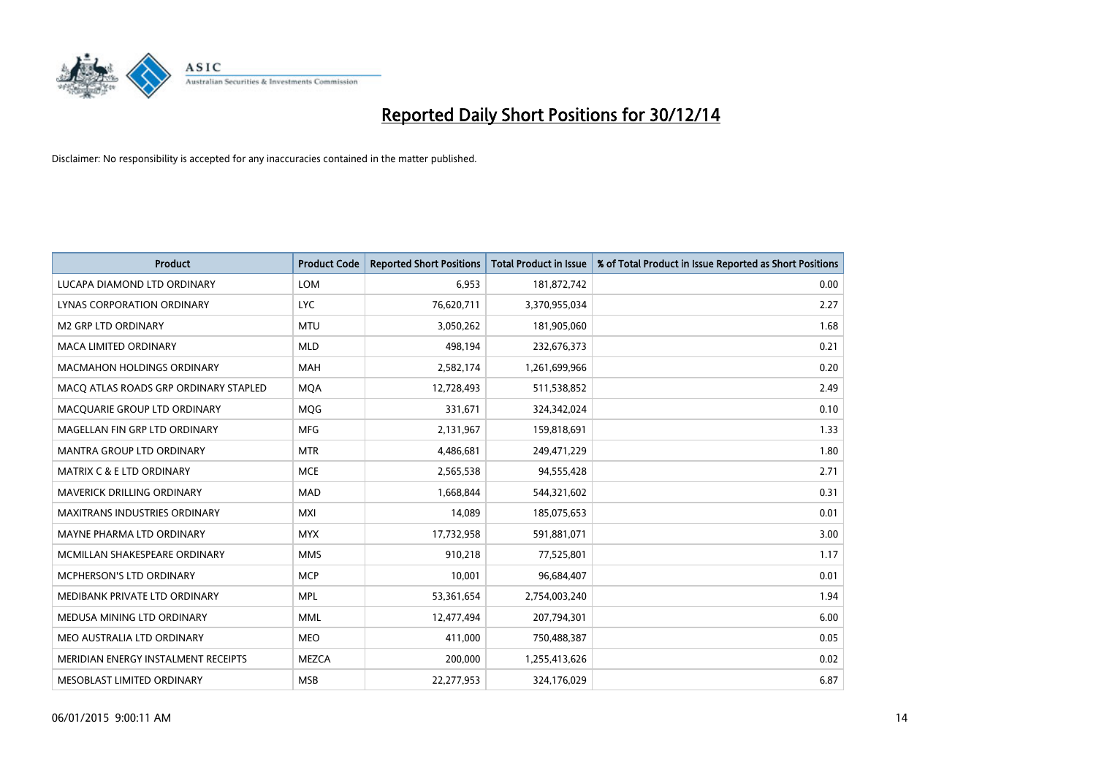

| <b>Product</b>                        | <b>Product Code</b> | <b>Reported Short Positions</b> | <b>Total Product in Issue</b> | % of Total Product in Issue Reported as Short Positions |
|---------------------------------------|---------------------|---------------------------------|-------------------------------|---------------------------------------------------------|
| LUCAPA DIAMOND LTD ORDINARY           | <b>LOM</b>          | 6,953                           | 181,872,742                   | 0.00                                                    |
| LYNAS CORPORATION ORDINARY            | <b>LYC</b>          | 76,620,711                      | 3,370,955,034                 | 2.27                                                    |
| <b>M2 GRP LTD ORDINARY</b>            | <b>MTU</b>          | 3,050,262                       | 181,905,060                   | 1.68                                                    |
| MACA LIMITED ORDINARY                 | <b>MLD</b>          | 498,194                         | 232,676,373                   | 0.21                                                    |
| <b>MACMAHON HOLDINGS ORDINARY</b>     | <b>MAH</b>          | 2,582,174                       | 1,261,699,966                 | 0.20                                                    |
| MACO ATLAS ROADS GRP ORDINARY STAPLED | <b>MOA</b>          | 12,728,493                      | 511,538,852                   | 2.49                                                    |
| MACQUARIE GROUP LTD ORDINARY          | <b>MOG</b>          | 331,671                         | 324,342,024                   | 0.10                                                    |
| MAGELLAN FIN GRP LTD ORDINARY         | <b>MFG</b>          | 2,131,967                       | 159,818,691                   | 1.33                                                    |
| <b>MANTRA GROUP LTD ORDINARY</b>      | <b>MTR</b>          | 4,486,681                       | 249,471,229                   | 1.80                                                    |
| <b>MATRIX C &amp; E LTD ORDINARY</b>  | <b>MCE</b>          | 2,565,538                       | 94,555,428                    | 2.71                                                    |
| MAVERICK DRILLING ORDINARY            | <b>MAD</b>          | 1,668,844                       | 544,321,602                   | 0.31                                                    |
| <b>MAXITRANS INDUSTRIES ORDINARY</b>  | <b>MXI</b>          | 14,089                          | 185,075,653                   | 0.01                                                    |
| MAYNE PHARMA LTD ORDINARY             | <b>MYX</b>          | 17,732,958                      | 591,881,071                   | 3.00                                                    |
| MCMILLAN SHAKESPEARE ORDINARY         | <b>MMS</b>          | 910,218                         | 77,525,801                    | 1.17                                                    |
| <b>MCPHERSON'S LTD ORDINARY</b>       | <b>MCP</b>          | 10,001                          | 96,684,407                    | 0.01                                                    |
| MEDIBANK PRIVATE LTD ORDINARY         | <b>MPL</b>          | 53,361,654                      | 2,754,003,240                 | 1.94                                                    |
| MEDUSA MINING LTD ORDINARY            | <b>MML</b>          | 12,477,494                      | 207,794,301                   | 6.00                                                    |
| MEO AUSTRALIA LTD ORDINARY            | <b>MEO</b>          | 411,000                         | 750,488,387                   | 0.05                                                    |
| MERIDIAN ENERGY INSTALMENT RECEIPTS   | <b>MEZCA</b>        | 200,000                         | 1,255,413,626                 | 0.02                                                    |
| MESOBLAST LIMITED ORDINARY            | <b>MSB</b>          | 22,277,953                      | 324,176,029                   | 6.87                                                    |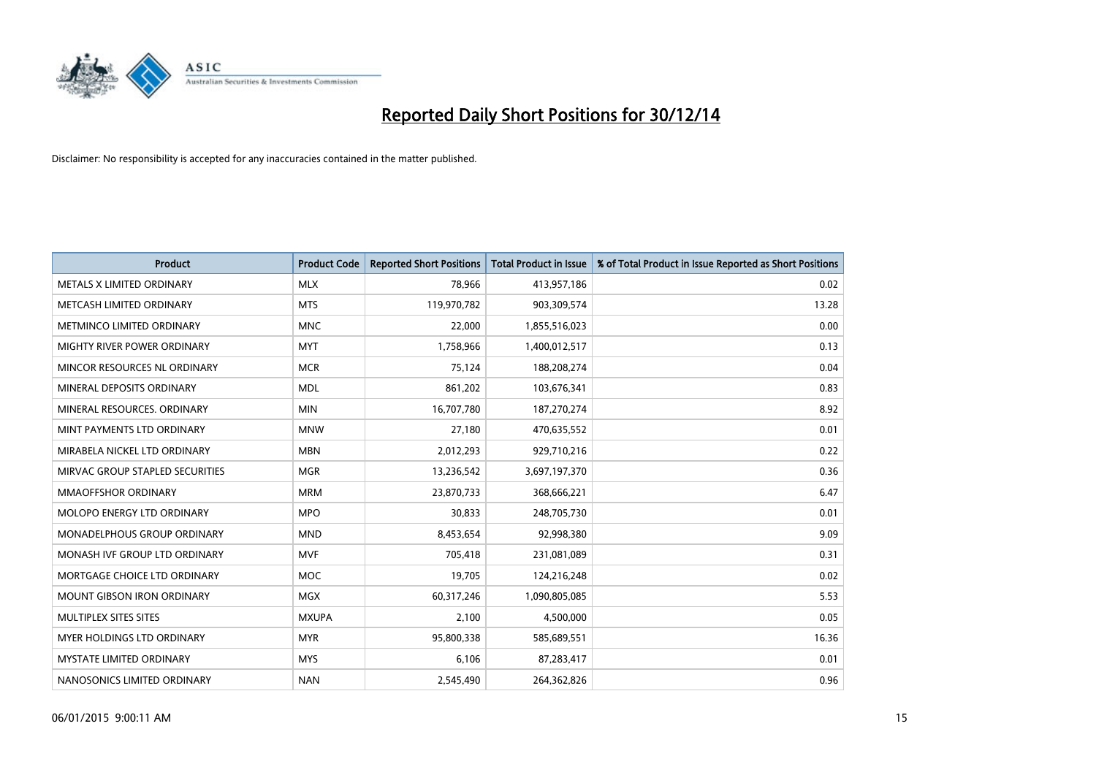

| <b>Product</b>                    | <b>Product Code</b> | <b>Reported Short Positions</b> | <b>Total Product in Issue</b> | % of Total Product in Issue Reported as Short Positions |
|-----------------------------------|---------------------|---------------------------------|-------------------------------|---------------------------------------------------------|
| METALS X LIMITED ORDINARY         | <b>MLX</b>          | 78,966                          | 413,957,186                   | 0.02                                                    |
| METCASH LIMITED ORDINARY          | <b>MTS</b>          | 119,970,782                     | 903,309,574                   | 13.28                                                   |
| METMINCO LIMITED ORDINARY         | <b>MNC</b>          | 22,000                          | 1,855,516,023                 | 0.00                                                    |
| MIGHTY RIVER POWER ORDINARY       | <b>MYT</b>          | 1,758,966                       | 1,400,012,517                 | 0.13                                                    |
| MINCOR RESOURCES NL ORDINARY      | <b>MCR</b>          | 75,124                          | 188,208,274                   | 0.04                                                    |
| MINERAL DEPOSITS ORDINARY         | <b>MDL</b>          | 861,202                         | 103,676,341                   | 0.83                                                    |
| MINERAL RESOURCES, ORDINARY       | <b>MIN</b>          | 16,707,780                      | 187,270,274                   | 8.92                                                    |
| MINT PAYMENTS LTD ORDINARY        | <b>MNW</b>          | 27,180                          | 470,635,552                   | 0.01                                                    |
| MIRABELA NICKEL LTD ORDINARY      | <b>MBN</b>          | 2,012,293                       | 929,710,216                   | 0.22                                                    |
| MIRVAC GROUP STAPLED SECURITIES   | <b>MGR</b>          | 13,236,542                      | 3,697,197,370                 | 0.36                                                    |
| <b>MMAOFFSHOR ORDINARY</b>        | <b>MRM</b>          | 23,870,733                      | 368,666,221                   | 6.47                                                    |
| <b>MOLOPO ENERGY LTD ORDINARY</b> | <b>MPO</b>          | 30,833                          | 248,705,730                   | 0.01                                                    |
| MONADELPHOUS GROUP ORDINARY       | <b>MND</b>          | 8,453,654                       | 92,998,380                    | 9.09                                                    |
| MONASH IVF GROUP LTD ORDINARY     | <b>MVF</b>          | 705,418                         | 231,081,089                   | 0.31                                                    |
| MORTGAGE CHOICE LTD ORDINARY      | <b>MOC</b>          | 19,705                          | 124,216,248                   | 0.02                                                    |
| <b>MOUNT GIBSON IRON ORDINARY</b> | <b>MGX</b>          | 60,317,246                      | 1,090,805,085                 | 5.53                                                    |
| MULTIPLEX SITES SITES             | <b>MXUPA</b>        | 2,100                           | 4,500,000                     | 0.05                                                    |
| MYER HOLDINGS LTD ORDINARY        | <b>MYR</b>          | 95,800,338                      | 585,689,551                   | 16.36                                                   |
| <b>MYSTATE LIMITED ORDINARY</b>   | <b>MYS</b>          | 6,106                           | 87,283,417                    | 0.01                                                    |
| NANOSONICS LIMITED ORDINARY       | <b>NAN</b>          | 2,545,490                       | 264,362,826                   | 0.96                                                    |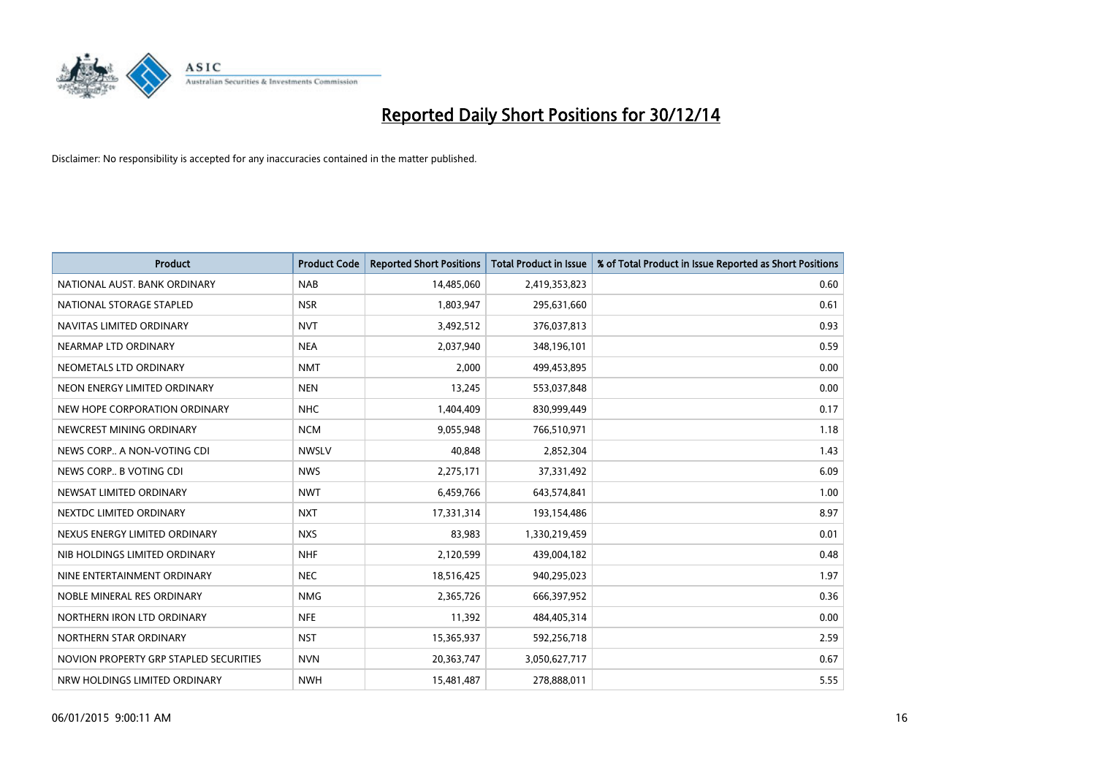

| <b>Product</b>                         | <b>Product Code</b> | <b>Reported Short Positions</b> | <b>Total Product in Issue</b> | % of Total Product in Issue Reported as Short Positions |
|----------------------------------------|---------------------|---------------------------------|-------------------------------|---------------------------------------------------------|
| NATIONAL AUST. BANK ORDINARY           | <b>NAB</b>          | 14,485,060                      | 2,419,353,823                 | 0.60                                                    |
| NATIONAL STORAGE STAPLED               | <b>NSR</b>          | 1,803,947                       | 295,631,660                   | 0.61                                                    |
| NAVITAS LIMITED ORDINARY               | <b>NVT</b>          | 3,492,512                       | 376,037,813                   | 0.93                                                    |
| NEARMAP LTD ORDINARY                   | <b>NEA</b>          | 2,037,940                       | 348,196,101                   | 0.59                                                    |
| NEOMETALS LTD ORDINARY                 | <b>NMT</b>          | 2,000                           | 499,453,895                   | 0.00                                                    |
| NEON ENERGY LIMITED ORDINARY           | <b>NEN</b>          | 13,245                          | 553,037,848                   | 0.00                                                    |
| NEW HOPE CORPORATION ORDINARY          | <b>NHC</b>          | 1,404,409                       | 830,999,449                   | 0.17                                                    |
| NEWCREST MINING ORDINARY               | <b>NCM</b>          | 9,055,948                       | 766,510,971                   | 1.18                                                    |
| NEWS CORP A NON-VOTING CDI             | <b>NWSLV</b>        | 40,848                          | 2,852,304                     | 1.43                                                    |
| NEWS CORP B VOTING CDI                 | <b>NWS</b>          | 2,275,171                       | 37,331,492                    | 6.09                                                    |
| NEWSAT LIMITED ORDINARY                | <b>NWT</b>          | 6,459,766                       | 643,574,841                   | 1.00                                                    |
| NEXTDC LIMITED ORDINARY                | <b>NXT</b>          | 17,331,314                      | 193,154,486                   | 8.97                                                    |
| NEXUS ENERGY LIMITED ORDINARY          | <b>NXS</b>          | 83,983                          | 1,330,219,459                 | 0.01                                                    |
| NIB HOLDINGS LIMITED ORDINARY          | <b>NHF</b>          | 2,120,599                       | 439,004,182                   | 0.48                                                    |
| NINE ENTERTAINMENT ORDINARY            | <b>NEC</b>          | 18,516,425                      | 940,295,023                   | 1.97                                                    |
| NOBLE MINERAL RES ORDINARY             | <b>NMG</b>          | 2,365,726                       | 666,397,952                   | 0.36                                                    |
| NORTHERN IRON LTD ORDINARY             | <b>NFE</b>          | 11,392                          | 484,405,314                   | 0.00                                                    |
| NORTHERN STAR ORDINARY                 | <b>NST</b>          | 15,365,937                      | 592,256,718                   | 2.59                                                    |
| NOVION PROPERTY GRP STAPLED SECURITIES | <b>NVN</b>          | 20,363,747                      | 3,050,627,717                 | 0.67                                                    |
| NRW HOLDINGS LIMITED ORDINARY          | <b>NWH</b>          | 15,481,487                      | 278,888,011                   | 5.55                                                    |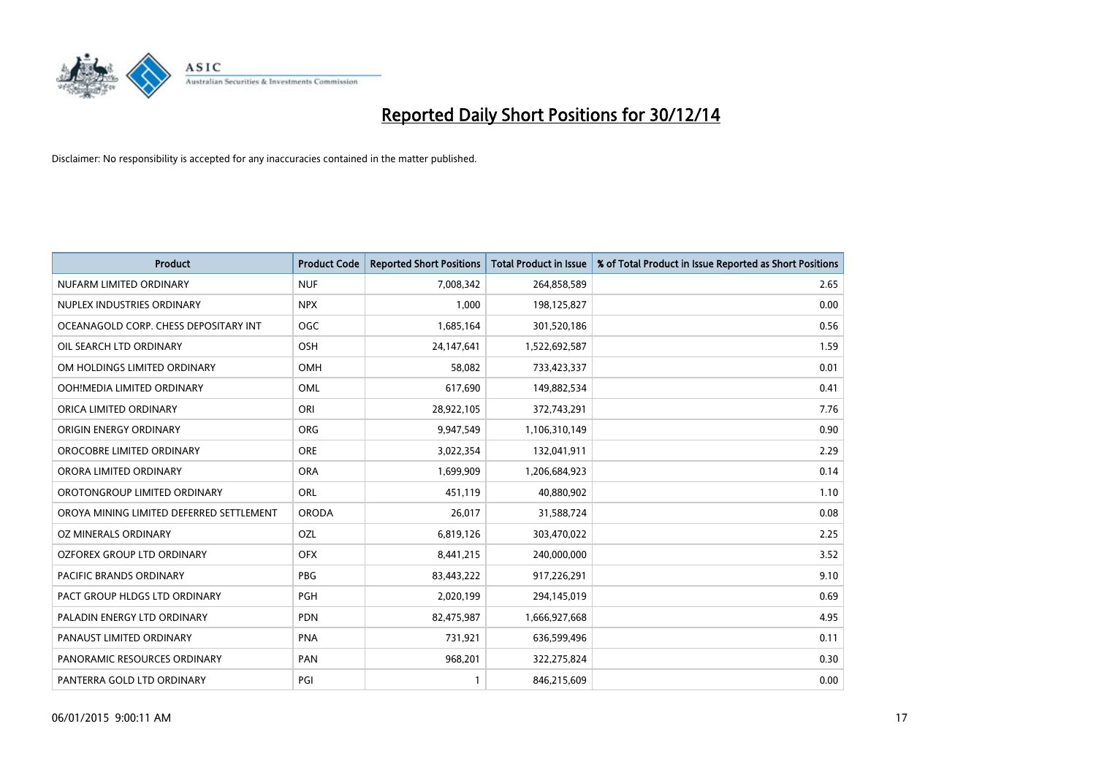

| <b>Product</b>                           | <b>Product Code</b> | <b>Reported Short Positions</b> | <b>Total Product in Issue</b> | % of Total Product in Issue Reported as Short Positions |
|------------------------------------------|---------------------|---------------------------------|-------------------------------|---------------------------------------------------------|
| NUFARM LIMITED ORDINARY                  | <b>NUF</b>          | 7,008,342                       | 264,858,589                   | 2.65                                                    |
| NUPLEX INDUSTRIES ORDINARY               | <b>NPX</b>          | 1,000                           | 198,125,827                   | 0.00                                                    |
| OCEANAGOLD CORP. CHESS DEPOSITARY INT    | <b>OGC</b>          | 1,685,164                       | 301,520,186                   | 0.56                                                    |
| OIL SEARCH LTD ORDINARY                  | OSH                 | 24,147,641                      | 1,522,692,587                 | 1.59                                                    |
| OM HOLDINGS LIMITED ORDINARY             | <b>OMH</b>          | 58,082                          | 733,423,337                   | 0.01                                                    |
| OOH!MEDIA LIMITED ORDINARY               | <b>OML</b>          | 617,690                         | 149,882,534                   | 0.41                                                    |
| ORICA LIMITED ORDINARY                   | ORI                 | 28,922,105                      | 372,743,291                   | 7.76                                                    |
| ORIGIN ENERGY ORDINARY                   | ORG                 | 9,947,549                       | 1,106,310,149                 | 0.90                                                    |
| OROCOBRE LIMITED ORDINARY                | <b>ORE</b>          | 3,022,354                       | 132,041,911                   | 2.29                                                    |
| ORORA LIMITED ORDINARY                   | <b>ORA</b>          | 1,699,909                       | 1,206,684,923                 | 0.14                                                    |
| OROTONGROUP LIMITED ORDINARY             | ORL                 | 451,119                         | 40,880,902                    | 1.10                                                    |
| OROYA MINING LIMITED DEFERRED SETTLEMENT | <b>ORODA</b>        | 26,017                          | 31,588,724                    | 0.08                                                    |
| OZ MINERALS ORDINARY                     | OZL                 | 6,819,126                       | 303,470,022                   | 2.25                                                    |
| OZFOREX GROUP LTD ORDINARY               | <b>OFX</b>          | 8,441,215                       | 240,000,000                   | 3.52                                                    |
| PACIFIC BRANDS ORDINARY                  | <b>PBG</b>          | 83,443,222                      | 917,226,291                   | 9.10                                                    |
| PACT GROUP HLDGS LTD ORDINARY            | <b>PGH</b>          | 2,020,199                       | 294,145,019                   | 0.69                                                    |
| PALADIN ENERGY LTD ORDINARY              | <b>PDN</b>          | 82,475,987                      | 1,666,927,668                 | 4.95                                                    |
| PANAUST LIMITED ORDINARY                 | <b>PNA</b>          | 731,921                         | 636,599,496                   | 0.11                                                    |
| PANORAMIC RESOURCES ORDINARY             | PAN                 | 968,201                         | 322,275,824                   | 0.30                                                    |
| PANTERRA GOLD LTD ORDINARY               | PGI                 |                                 | 846,215,609                   | 0.00                                                    |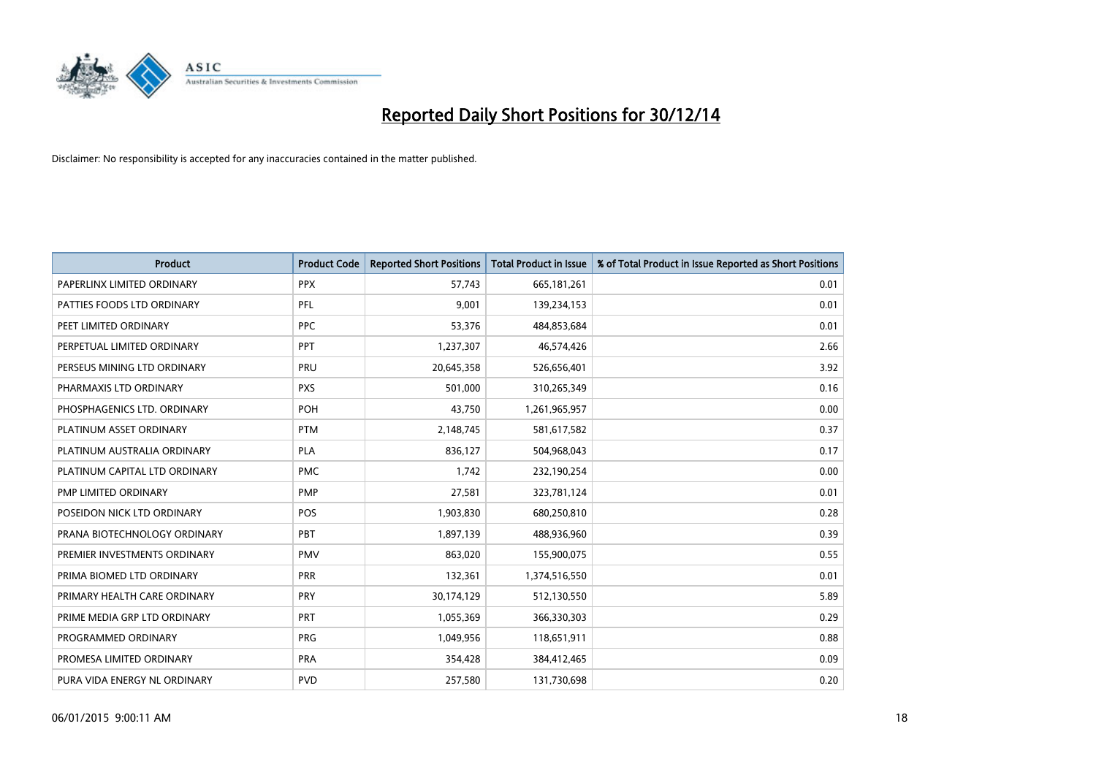

| <b>Product</b>                | <b>Product Code</b> | <b>Reported Short Positions</b> | <b>Total Product in Issue</b> | % of Total Product in Issue Reported as Short Positions |
|-------------------------------|---------------------|---------------------------------|-------------------------------|---------------------------------------------------------|
| PAPERLINX LIMITED ORDINARY    | <b>PPX</b>          | 57,743                          | 665,181,261                   | 0.01                                                    |
| PATTIES FOODS LTD ORDINARY    | <b>PFL</b>          | 9,001                           | 139,234,153                   | 0.01                                                    |
| PEET LIMITED ORDINARY         | <b>PPC</b>          | 53,376                          | 484,853,684                   | 0.01                                                    |
| PERPETUAL LIMITED ORDINARY    | <b>PPT</b>          | 1,237,307                       | 46,574,426                    | 2.66                                                    |
| PERSEUS MINING LTD ORDINARY   | PRU                 | 20,645,358                      | 526,656,401                   | 3.92                                                    |
| PHARMAXIS LTD ORDINARY        | <b>PXS</b>          | 501,000                         | 310,265,349                   | 0.16                                                    |
| PHOSPHAGENICS LTD. ORDINARY   | POH                 | 43,750                          | 1,261,965,957                 | 0.00                                                    |
| PLATINUM ASSET ORDINARY       | <b>PTM</b>          | 2,148,745                       | 581,617,582                   | 0.37                                                    |
| PLATINUM AUSTRALIA ORDINARY   | <b>PLA</b>          | 836,127                         | 504,968,043                   | 0.17                                                    |
| PLATINUM CAPITAL LTD ORDINARY | <b>PMC</b>          | 1,742                           | 232,190,254                   | 0.00                                                    |
| PMP LIMITED ORDINARY          | <b>PMP</b>          | 27,581                          | 323,781,124                   | 0.01                                                    |
| POSEIDON NICK LTD ORDINARY    | <b>POS</b>          | 1,903,830                       | 680,250,810                   | 0.28                                                    |
| PRANA BIOTECHNOLOGY ORDINARY  | PBT                 | 1,897,139                       | 488,936,960                   | 0.39                                                    |
| PREMIER INVESTMENTS ORDINARY  | <b>PMV</b>          | 863,020                         | 155,900,075                   | 0.55                                                    |
| PRIMA BIOMED LTD ORDINARY     | <b>PRR</b>          | 132,361                         | 1,374,516,550                 | 0.01                                                    |
| PRIMARY HEALTH CARE ORDINARY  | <b>PRY</b>          | 30,174,129                      | 512,130,550                   | 5.89                                                    |
| PRIME MEDIA GRP LTD ORDINARY  | <b>PRT</b>          | 1,055,369                       | 366,330,303                   | 0.29                                                    |
| PROGRAMMED ORDINARY           | <b>PRG</b>          | 1,049,956                       | 118,651,911                   | 0.88                                                    |
| PROMESA LIMITED ORDINARY      | <b>PRA</b>          | 354,428                         | 384,412,465                   | 0.09                                                    |
| PURA VIDA ENERGY NL ORDINARY  | <b>PVD</b>          | 257,580                         | 131,730,698                   | 0.20                                                    |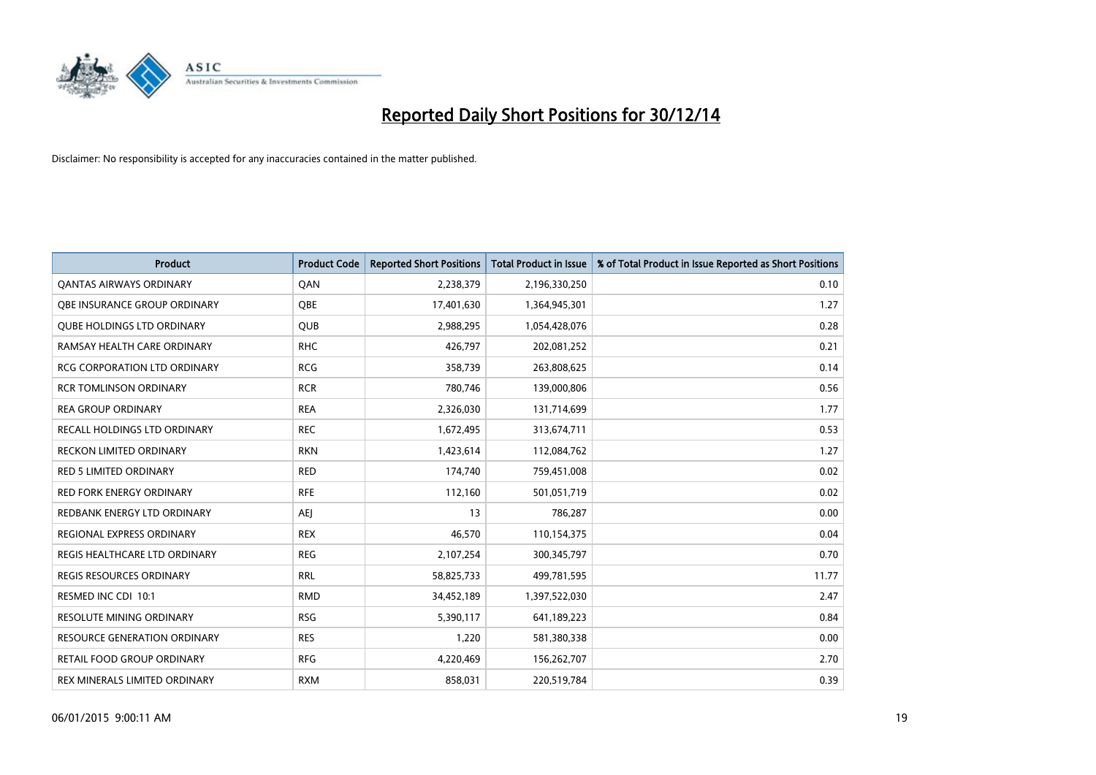

| Product                             | <b>Product Code</b> | <b>Reported Short Positions</b> | <b>Total Product in Issue</b> | % of Total Product in Issue Reported as Short Positions |
|-------------------------------------|---------------------|---------------------------------|-------------------------------|---------------------------------------------------------|
| <b>QANTAS AIRWAYS ORDINARY</b>      | QAN                 | 2,238,379                       | 2,196,330,250                 | 0.10                                                    |
| OBE INSURANCE GROUP ORDINARY        | QBE                 | 17,401,630                      | 1,364,945,301                 | 1.27                                                    |
| <b>QUBE HOLDINGS LTD ORDINARY</b>   | <b>QUB</b>          | 2,988,295                       | 1,054,428,076                 | 0.28                                                    |
| RAMSAY HEALTH CARE ORDINARY         | <b>RHC</b>          | 426,797                         | 202,081,252                   | 0.21                                                    |
| <b>RCG CORPORATION LTD ORDINARY</b> | <b>RCG</b>          | 358,739                         | 263,808,625                   | 0.14                                                    |
| <b>RCR TOMLINSON ORDINARY</b>       | <b>RCR</b>          | 780,746                         | 139,000,806                   | 0.56                                                    |
| <b>REA GROUP ORDINARY</b>           | <b>REA</b>          | 2,326,030                       | 131,714,699                   | 1.77                                                    |
| RECALL HOLDINGS LTD ORDINARY        | <b>REC</b>          | 1,672,495                       | 313,674,711                   | 0.53                                                    |
| <b>RECKON LIMITED ORDINARY</b>      | <b>RKN</b>          | 1,423,614                       | 112,084,762                   | 1.27                                                    |
| RED 5 LIMITED ORDINARY              | <b>RED</b>          | 174,740                         | 759,451,008                   | 0.02                                                    |
| RED FORK ENERGY ORDINARY            | <b>RFE</b>          | 112,160                         | 501,051,719                   | 0.02                                                    |
| REDBANK ENERGY LTD ORDINARY         | AEJ                 | 13                              | 786,287                       | 0.00                                                    |
| REGIONAL EXPRESS ORDINARY           | <b>REX</b>          | 46,570                          | 110,154,375                   | 0.04                                                    |
| REGIS HEALTHCARE LTD ORDINARY       | <b>REG</b>          | 2,107,254                       | 300,345,797                   | 0.70                                                    |
| REGIS RESOURCES ORDINARY            | <b>RRL</b>          | 58,825,733                      | 499,781,595                   | 11.77                                                   |
| RESMED INC CDI 10:1                 | <b>RMD</b>          | 34,452,189                      | 1,397,522,030                 | 2.47                                                    |
| RESOLUTE MINING ORDINARY            | <b>RSG</b>          | 5,390,117                       | 641,189,223                   | 0.84                                                    |
| <b>RESOURCE GENERATION ORDINARY</b> | <b>RES</b>          | 1,220                           | 581,380,338                   | 0.00                                                    |
| RETAIL FOOD GROUP ORDINARY          | <b>RFG</b>          | 4,220,469                       | 156,262,707                   | 2.70                                                    |
| REX MINERALS LIMITED ORDINARY       | <b>RXM</b>          | 858,031                         | 220,519,784                   | 0.39                                                    |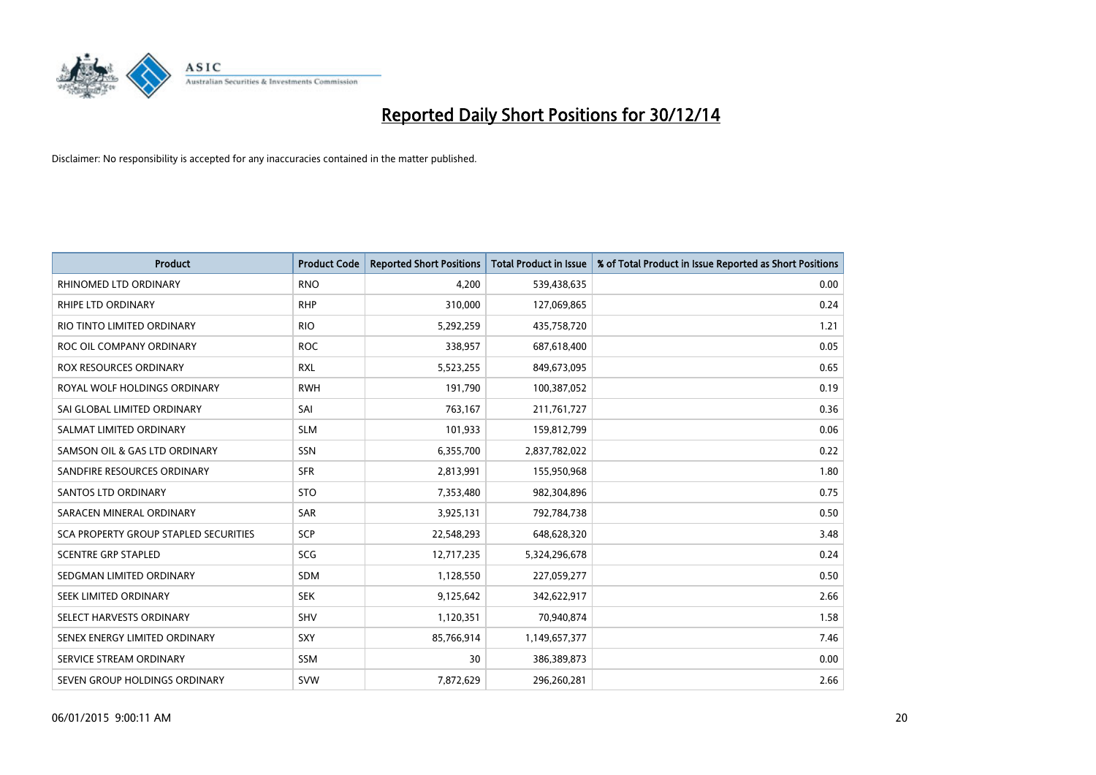

| <b>Product</b>                        | <b>Product Code</b> | <b>Reported Short Positions</b> | <b>Total Product in Issue</b> | % of Total Product in Issue Reported as Short Positions |
|---------------------------------------|---------------------|---------------------------------|-------------------------------|---------------------------------------------------------|
| RHINOMED LTD ORDINARY                 | <b>RNO</b>          | 4,200                           | 539,438,635                   | 0.00                                                    |
| RHIPE LTD ORDINARY                    | <b>RHP</b>          | 310,000                         | 127,069,865                   | 0.24                                                    |
| RIO TINTO LIMITED ORDINARY            | <b>RIO</b>          | 5,292,259                       | 435,758,720                   | 1.21                                                    |
| ROC OIL COMPANY ORDINARY              | <b>ROC</b>          | 338,957                         | 687,618,400                   | 0.05                                                    |
| ROX RESOURCES ORDINARY                | <b>RXL</b>          | 5,523,255                       | 849,673,095                   | 0.65                                                    |
| ROYAL WOLF HOLDINGS ORDINARY          | <b>RWH</b>          | 191,790                         | 100,387,052                   | 0.19                                                    |
| SAI GLOBAL LIMITED ORDINARY           | SAI                 | 763,167                         | 211,761,727                   | 0.36                                                    |
| SALMAT LIMITED ORDINARY               | <b>SLM</b>          | 101,933                         | 159,812,799                   | 0.06                                                    |
| SAMSON OIL & GAS LTD ORDINARY         | SSN                 | 6,355,700                       | 2,837,782,022                 | 0.22                                                    |
| SANDFIRE RESOURCES ORDINARY           | <b>SFR</b>          | 2,813,991                       | 155,950,968                   | 1.80                                                    |
| <b>SANTOS LTD ORDINARY</b>            | <b>STO</b>          | 7,353,480                       | 982,304,896                   | 0.75                                                    |
| SARACEN MINERAL ORDINARY              | <b>SAR</b>          | 3,925,131                       | 792,784,738                   | 0.50                                                    |
| SCA PROPERTY GROUP STAPLED SECURITIES | SCP                 | 22,548,293                      | 648,628,320                   | 3.48                                                    |
| <b>SCENTRE GRP STAPLED</b>            | SCG                 | 12,717,235                      | 5,324,296,678                 | 0.24                                                    |
| SEDGMAN LIMITED ORDINARY              | <b>SDM</b>          | 1,128,550                       | 227,059,277                   | 0.50                                                    |
| SEEK LIMITED ORDINARY                 | <b>SEK</b>          | 9,125,642                       | 342,622,917                   | 2.66                                                    |
| SELECT HARVESTS ORDINARY              | SHV                 | 1,120,351                       | 70,940,874                    | 1.58                                                    |
| SENEX ENERGY LIMITED ORDINARY         | SXY                 | 85,766,914                      | 1,149,657,377                 | 7.46                                                    |
| SERVICE STREAM ORDINARY               | SSM                 | 30                              | 386,389,873                   | 0.00                                                    |
| SEVEN GROUP HOLDINGS ORDINARY         | <b>SVW</b>          | 7,872,629                       | 296,260,281                   | 2.66                                                    |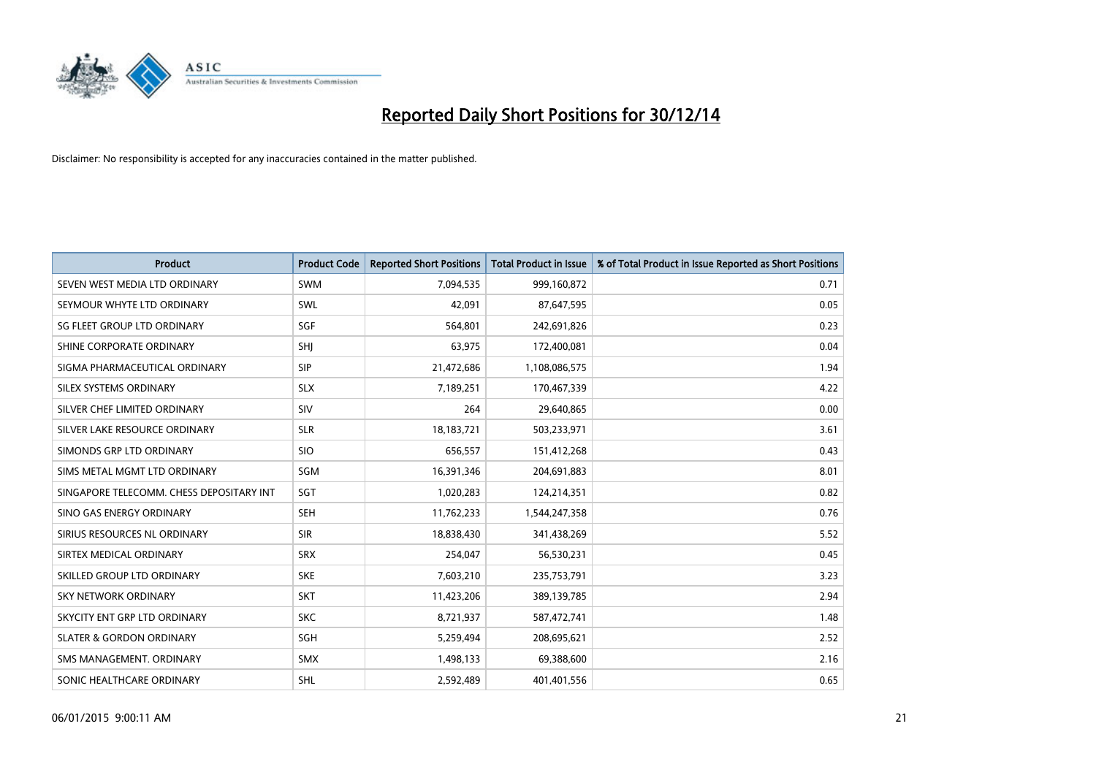

| <b>Product</b>                           | <b>Product Code</b> | <b>Reported Short Positions</b> | <b>Total Product in Issue</b> | % of Total Product in Issue Reported as Short Positions |
|------------------------------------------|---------------------|---------------------------------|-------------------------------|---------------------------------------------------------|
| SEVEN WEST MEDIA LTD ORDINARY            | <b>SWM</b>          | 7,094,535                       | 999,160,872                   | 0.71                                                    |
| SEYMOUR WHYTE LTD ORDINARY               | SWL                 | 42,091                          | 87,647,595                    | 0.05                                                    |
| SG FLEET GROUP LTD ORDINARY              | SGF                 | 564,801                         | 242,691,826                   | 0.23                                                    |
| SHINE CORPORATE ORDINARY                 | SHJ                 | 63,975                          | 172,400,081                   | 0.04                                                    |
| SIGMA PHARMACEUTICAL ORDINARY            | <b>SIP</b>          | 21,472,686                      | 1,108,086,575                 | 1.94                                                    |
| SILEX SYSTEMS ORDINARY                   | <b>SLX</b>          | 7,189,251                       | 170,467,339                   | 4.22                                                    |
| SILVER CHEF LIMITED ORDINARY             | <b>SIV</b>          | 264                             | 29,640,865                    | 0.00                                                    |
| SILVER LAKE RESOURCE ORDINARY            | <b>SLR</b>          | 18,183,721                      | 503,233,971                   | 3.61                                                    |
| SIMONDS GRP LTD ORDINARY                 | <b>SIO</b>          | 656,557                         | 151,412,268                   | 0.43                                                    |
| SIMS METAL MGMT LTD ORDINARY             | <b>SGM</b>          | 16,391,346                      | 204,691,883                   | 8.01                                                    |
| SINGAPORE TELECOMM. CHESS DEPOSITARY INT | SGT                 | 1,020,283                       | 124,214,351                   | 0.82                                                    |
| SINO GAS ENERGY ORDINARY                 | <b>SEH</b>          | 11,762,233                      | 1,544,247,358                 | 0.76                                                    |
| SIRIUS RESOURCES NL ORDINARY             | <b>SIR</b>          | 18,838,430                      | 341,438,269                   | 5.52                                                    |
| SIRTEX MEDICAL ORDINARY                  | <b>SRX</b>          | 254,047                         | 56,530,231                    | 0.45                                                    |
| SKILLED GROUP LTD ORDINARY               | <b>SKE</b>          | 7,603,210                       | 235,753,791                   | 3.23                                                    |
| SKY NETWORK ORDINARY                     | <b>SKT</b>          | 11,423,206                      | 389,139,785                   | 2.94                                                    |
| SKYCITY ENT GRP LTD ORDINARY             | <b>SKC</b>          | 8,721,937                       | 587,472,741                   | 1.48                                                    |
| <b>SLATER &amp; GORDON ORDINARY</b>      | SGH                 | 5,259,494                       | 208,695,621                   | 2.52                                                    |
| SMS MANAGEMENT, ORDINARY                 | <b>SMX</b>          | 1,498,133                       | 69,388,600                    | 2.16                                                    |
| SONIC HEALTHCARE ORDINARY                | SHL                 | 2,592,489                       | 401,401,556                   | 0.65                                                    |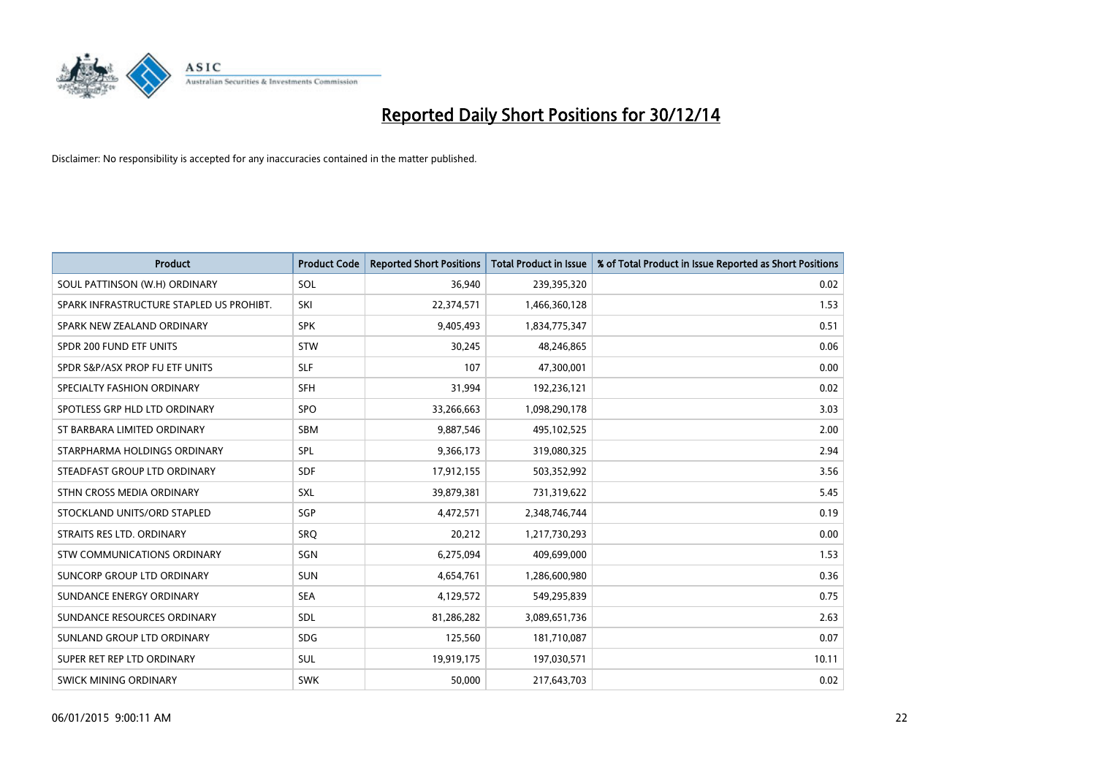

| <b>Product</b>                           | <b>Product Code</b> | <b>Reported Short Positions</b> | <b>Total Product in Issue</b> | % of Total Product in Issue Reported as Short Positions |
|------------------------------------------|---------------------|---------------------------------|-------------------------------|---------------------------------------------------------|
| SOUL PATTINSON (W.H) ORDINARY            | SOL                 | 36,940                          | 239,395,320                   | 0.02                                                    |
| SPARK INFRASTRUCTURE STAPLED US PROHIBT. | SKI                 | 22,374,571                      | 1,466,360,128                 | 1.53                                                    |
| SPARK NEW ZEALAND ORDINARY               | <b>SPK</b>          | 9,405,493                       | 1,834,775,347                 | 0.51                                                    |
| SPDR 200 FUND ETF UNITS                  | <b>STW</b>          | 30,245                          | 48,246,865                    | 0.06                                                    |
| SPDR S&P/ASX PROP FU ETF UNITS           | <b>SLF</b>          | 107                             | 47,300,001                    | 0.00                                                    |
| SPECIALTY FASHION ORDINARY               | <b>SFH</b>          | 31,994                          | 192,236,121                   | 0.02                                                    |
| SPOTLESS GRP HLD LTD ORDINARY            | <b>SPO</b>          | 33,266,663                      | 1,098,290,178                 | 3.03                                                    |
| ST BARBARA LIMITED ORDINARY              | <b>SBM</b>          | 9,887,546                       | 495,102,525                   | 2.00                                                    |
| STARPHARMA HOLDINGS ORDINARY             | SPL                 | 9,366,173                       | 319,080,325                   | 2.94                                                    |
| STEADFAST GROUP LTD ORDINARY             | <b>SDF</b>          | 17,912,155                      | 503,352,992                   | 3.56                                                    |
| STHN CROSS MEDIA ORDINARY                | <b>SXL</b>          | 39,879,381                      | 731,319,622                   | 5.45                                                    |
| STOCKLAND UNITS/ORD STAPLED              | <b>SGP</b>          | 4,472,571                       | 2,348,746,744                 | 0.19                                                    |
| STRAITS RES LTD. ORDINARY                | SRQ                 | 20,212                          | 1,217,730,293                 | 0.00                                                    |
| STW COMMUNICATIONS ORDINARY              | SGN                 | 6,275,094                       | 409,699,000                   | 1.53                                                    |
| SUNCORP GROUP LTD ORDINARY               | <b>SUN</b>          | 4,654,761                       | 1,286,600,980                 | 0.36                                                    |
| SUNDANCE ENERGY ORDINARY                 | <b>SEA</b>          | 4,129,572                       | 549,295,839                   | 0.75                                                    |
| SUNDANCE RESOURCES ORDINARY              | <b>SDL</b>          | 81,286,282                      | 3,089,651,736                 | 2.63                                                    |
| SUNLAND GROUP LTD ORDINARY               | <b>SDG</b>          | 125,560                         | 181,710,087                   | 0.07                                                    |
| SUPER RET REP LTD ORDINARY               | <b>SUL</b>          | 19,919,175                      | 197,030,571                   | 10.11                                                   |
| <b>SWICK MINING ORDINARY</b>             | <b>SWK</b>          | 50,000                          | 217,643,703                   | 0.02                                                    |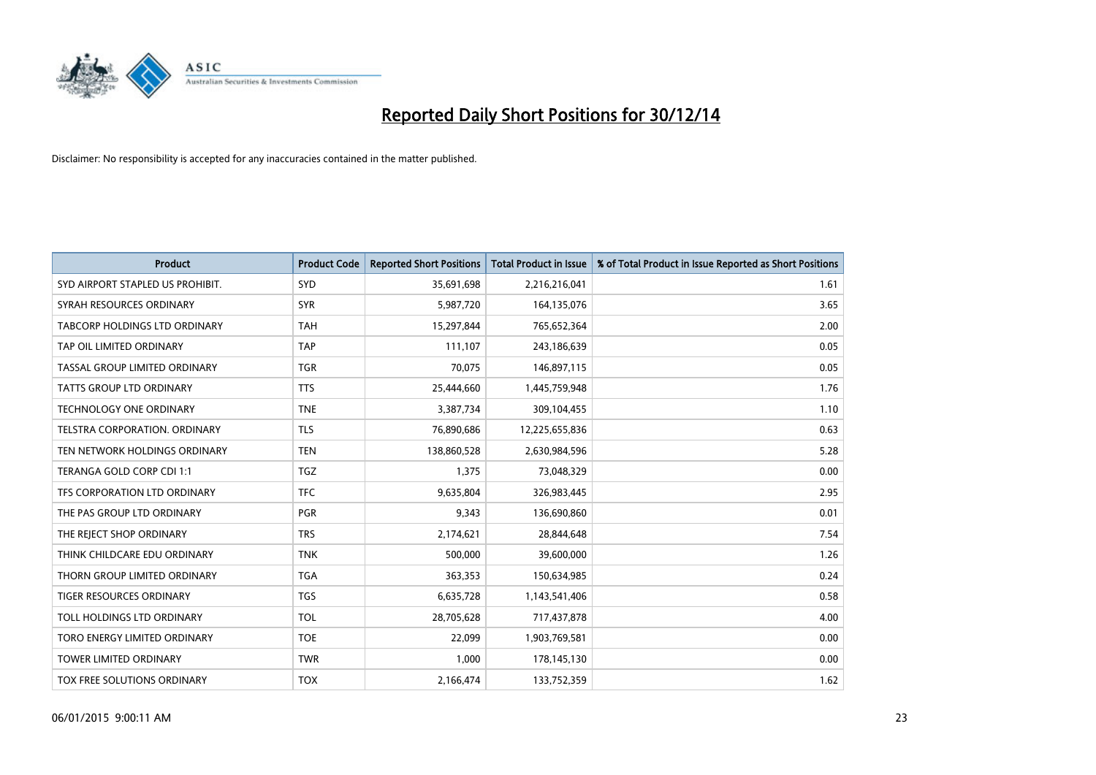

| <b>Product</b>                       | <b>Product Code</b> | <b>Reported Short Positions</b> | <b>Total Product in Issue</b> | % of Total Product in Issue Reported as Short Positions |
|--------------------------------------|---------------------|---------------------------------|-------------------------------|---------------------------------------------------------|
| SYD AIRPORT STAPLED US PROHIBIT.     | <b>SYD</b>          | 35,691,698                      | 2,216,216,041                 | 1.61                                                    |
| SYRAH RESOURCES ORDINARY             | <b>SYR</b>          | 5,987,720                       | 164,135,076                   | 3.65                                                    |
| <b>TABCORP HOLDINGS LTD ORDINARY</b> | <b>TAH</b>          | 15,297,844                      | 765,652,364                   | 2.00                                                    |
| TAP OIL LIMITED ORDINARY             | <b>TAP</b>          | 111,107                         | 243,186,639                   | 0.05                                                    |
| TASSAL GROUP LIMITED ORDINARY        | <b>TGR</b>          | 70,075                          | 146,897,115                   | 0.05                                                    |
| <b>TATTS GROUP LTD ORDINARY</b>      | <b>TTS</b>          | 25,444,660                      | 1,445,759,948                 | 1.76                                                    |
| <b>TECHNOLOGY ONE ORDINARY</b>       | <b>TNE</b>          | 3,387,734                       | 309,104,455                   | 1.10                                                    |
| TELSTRA CORPORATION. ORDINARY        | <b>TLS</b>          | 76,890,686                      | 12,225,655,836                | 0.63                                                    |
| TEN NETWORK HOLDINGS ORDINARY        | <b>TEN</b>          | 138,860,528                     | 2,630,984,596                 | 5.28                                                    |
| TERANGA GOLD CORP CDI 1:1            | <b>TGZ</b>          | 1,375                           | 73,048,329                    | 0.00                                                    |
| TFS CORPORATION LTD ORDINARY         | <b>TFC</b>          | 9,635,804                       | 326,983,445                   | 2.95                                                    |
| THE PAS GROUP LTD ORDINARY           | <b>PGR</b>          | 9,343                           | 136,690,860                   | 0.01                                                    |
| THE REJECT SHOP ORDINARY             | <b>TRS</b>          | 2,174,621                       | 28,844,648                    | 7.54                                                    |
| THINK CHILDCARE EDU ORDINARY         | <b>TNK</b>          | 500,000                         | 39,600,000                    | 1.26                                                    |
| THORN GROUP LIMITED ORDINARY         | <b>TGA</b>          | 363,353                         | 150,634,985                   | 0.24                                                    |
| TIGER RESOURCES ORDINARY             | <b>TGS</b>          | 6,635,728                       | 1,143,541,406                 | 0.58                                                    |
| TOLL HOLDINGS LTD ORDINARY           | <b>TOL</b>          | 28,705,628                      | 717,437,878                   | 4.00                                                    |
| TORO ENERGY LIMITED ORDINARY         | <b>TOE</b>          | 22,099                          | 1,903,769,581                 | 0.00                                                    |
| <b>TOWER LIMITED ORDINARY</b>        | <b>TWR</b>          | 1,000                           | 178,145,130                   | 0.00                                                    |
| TOX FREE SOLUTIONS ORDINARY          | <b>TOX</b>          | 2,166,474                       | 133,752,359                   | 1.62                                                    |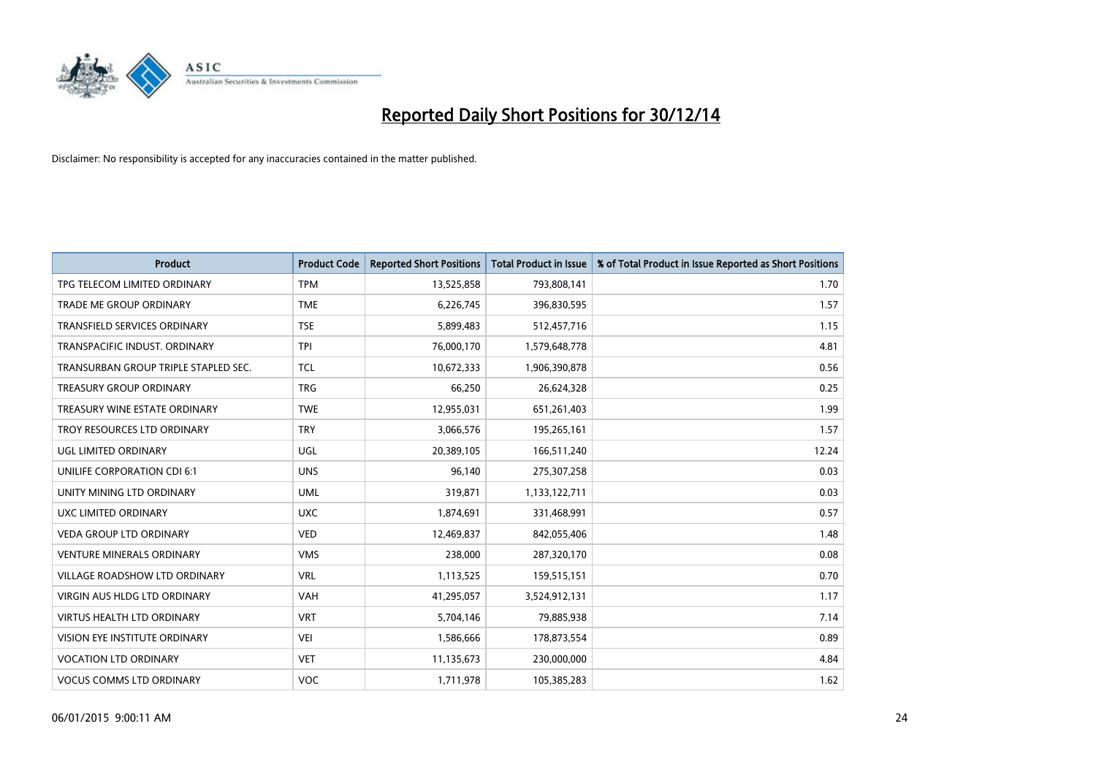

| <b>Product</b>                       | <b>Product Code</b> | <b>Reported Short Positions</b> | <b>Total Product in Issue</b> | % of Total Product in Issue Reported as Short Positions |
|--------------------------------------|---------------------|---------------------------------|-------------------------------|---------------------------------------------------------|
| TPG TELECOM LIMITED ORDINARY         | <b>TPM</b>          | 13,525,858                      | 793,808,141                   | 1.70                                                    |
| <b>TRADE ME GROUP ORDINARY</b>       | <b>TME</b>          | 6,226,745                       | 396,830,595                   | 1.57                                                    |
| <b>TRANSFIELD SERVICES ORDINARY</b>  | <b>TSE</b>          | 5,899,483                       | 512,457,716                   | 1.15                                                    |
| TRANSPACIFIC INDUST. ORDINARY        | <b>TPI</b>          | 76,000,170                      | 1,579,648,778                 | 4.81                                                    |
| TRANSURBAN GROUP TRIPLE STAPLED SEC. | <b>TCL</b>          | 10,672,333                      | 1,906,390,878                 | 0.56                                                    |
| <b>TREASURY GROUP ORDINARY</b>       | <b>TRG</b>          | 66,250                          | 26,624,328                    | 0.25                                                    |
| TREASURY WINE ESTATE ORDINARY        | <b>TWE</b>          | 12,955,031                      | 651,261,403                   | 1.99                                                    |
| TROY RESOURCES LTD ORDINARY          | <b>TRY</b>          | 3,066,576                       | 195,265,161                   | 1.57                                                    |
| UGL LIMITED ORDINARY                 | UGL                 | 20,389,105                      | 166,511,240                   | 12.24                                                   |
| UNILIFE CORPORATION CDI 6:1          | <b>UNS</b>          | 96,140                          | 275,307,258                   | 0.03                                                    |
| UNITY MINING LTD ORDINARY            | <b>UML</b>          | 319,871                         | 1,133,122,711                 | 0.03                                                    |
| UXC LIMITED ORDINARY                 | <b>UXC</b>          | 1,874,691                       | 331,468,991                   | 0.57                                                    |
| <b>VEDA GROUP LTD ORDINARY</b>       | <b>VED</b>          | 12,469,837                      | 842,055,406                   | 1.48                                                    |
| <b>VENTURE MINERALS ORDINARY</b>     | <b>VMS</b>          | 238,000                         | 287,320,170                   | 0.08                                                    |
| VILLAGE ROADSHOW LTD ORDINARY        | <b>VRL</b>          | 1,113,525                       | 159,515,151                   | 0.70                                                    |
| <b>VIRGIN AUS HLDG LTD ORDINARY</b>  | <b>VAH</b>          | 41,295,057                      | 3,524,912,131                 | 1.17                                                    |
| <b>VIRTUS HEALTH LTD ORDINARY</b>    | <b>VRT</b>          | 5,704,146                       | 79,885,938                    | 7.14                                                    |
| VISION EYE INSTITUTE ORDINARY        | <b>VEI</b>          | 1,586,666                       | 178,873,554                   | 0.89                                                    |
| <b>VOCATION LTD ORDINARY</b>         | <b>VET</b>          | 11,135,673                      | 230,000,000                   | 4.84                                                    |
| <b>VOCUS COMMS LTD ORDINARY</b>      | <b>VOC</b>          | 1,711,978                       | 105,385,283                   | 1.62                                                    |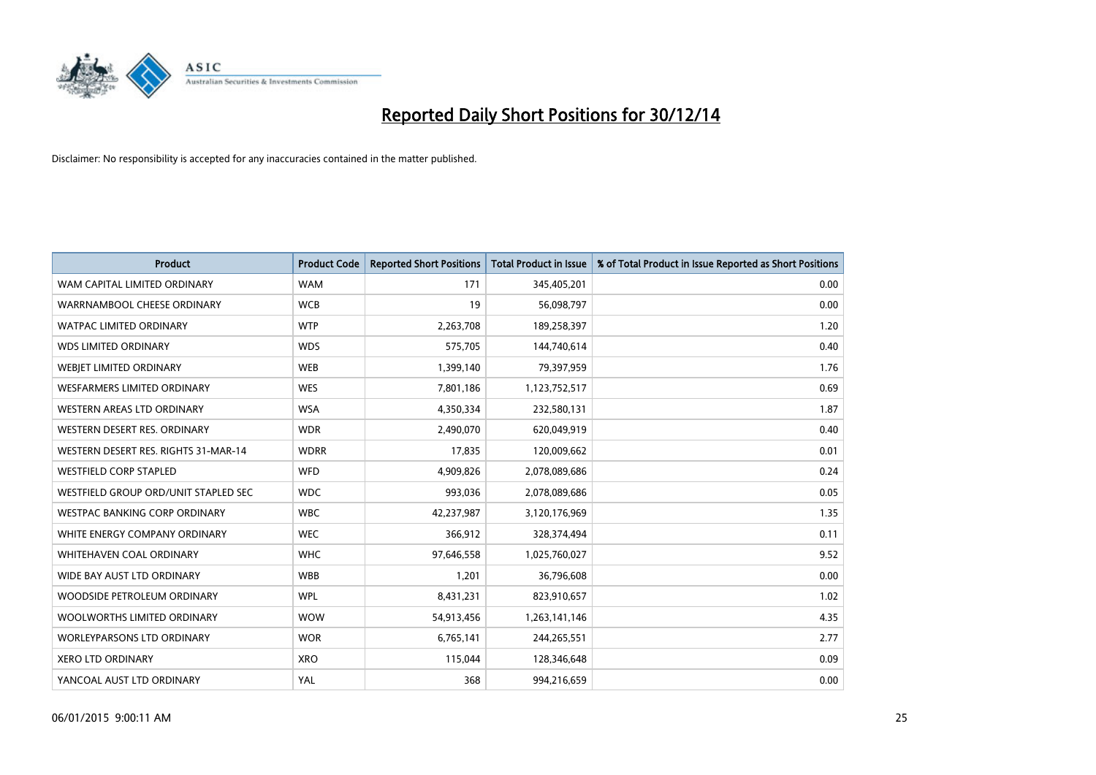

| <b>Product</b>                       | <b>Product Code</b> | <b>Reported Short Positions</b> | <b>Total Product in Issue</b> | % of Total Product in Issue Reported as Short Positions |
|--------------------------------------|---------------------|---------------------------------|-------------------------------|---------------------------------------------------------|
| WAM CAPITAL LIMITED ORDINARY         | <b>WAM</b>          | 171                             | 345,405,201                   | 0.00                                                    |
| WARRNAMBOOL CHEESE ORDINARY          | <b>WCB</b>          | 19                              | 56,098,797                    | 0.00                                                    |
| <b>WATPAC LIMITED ORDINARY</b>       | <b>WTP</b>          | 2,263,708                       | 189,258,397                   | 1.20                                                    |
| <b>WDS LIMITED ORDINARY</b>          | <b>WDS</b>          | 575,705                         | 144,740,614                   | 0.40                                                    |
| WEBJET LIMITED ORDINARY              | <b>WEB</b>          | 1,399,140                       | 79,397,959                    | 1.76                                                    |
| <b>WESFARMERS LIMITED ORDINARY</b>   | <b>WES</b>          | 7,801,186                       | 1,123,752,517                 | 0.69                                                    |
| WESTERN AREAS LTD ORDINARY           | <b>WSA</b>          | 4,350,334                       | 232,580,131                   | 1.87                                                    |
| WESTERN DESERT RES. ORDINARY         | <b>WDR</b>          | 2,490,070                       | 620,049,919                   | 0.40                                                    |
| WESTERN DESERT RES. RIGHTS 31-MAR-14 | <b>WDRR</b>         | 17,835                          | 120,009,662                   | 0.01                                                    |
| <b>WESTFIELD CORP STAPLED</b>        | <b>WFD</b>          | 4,909,826                       | 2,078,089,686                 | 0.24                                                    |
| WESTFIELD GROUP ORD/UNIT STAPLED SEC | <b>WDC</b>          | 993,036                         | 2,078,089,686                 | 0.05                                                    |
| <b>WESTPAC BANKING CORP ORDINARY</b> | <b>WBC</b>          | 42,237,987                      | 3,120,176,969                 | 1.35                                                    |
| WHITE ENERGY COMPANY ORDINARY        | <b>WEC</b>          | 366,912                         | 328,374,494                   | 0.11                                                    |
| WHITEHAVEN COAL ORDINARY             | <b>WHC</b>          | 97,646,558                      | 1,025,760,027                 | 9.52                                                    |
| WIDE BAY AUST LTD ORDINARY           | <b>WBB</b>          | 1,201                           | 36,796,608                    | 0.00                                                    |
| WOODSIDE PETROLEUM ORDINARY          | <b>WPL</b>          | 8,431,231                       | 823,910,657                   | 1.02                                                    |
| WOOLWORTHS LIMITED ORDINARY          | <b>WOW</b>          | 54,913,456                      | 1,263,141,146                 | 4.35                                                    |
| <b>WORLEYPARSONS LTD ORDINARY</b>    | <b>WOR</b>          | 6,765,141                       | 244,265,551                   | 2.77                                                    |
| <b>XERO LTD ORDINARY</b>             | <b>XRO</b>          | 115,044                         | 128,346,648                   | 0.09                                                    |
| YANCOAL AUST LTD ORDINARY            | YAL                 | 368                             | 994,216,659                   | 0.00                                                    |